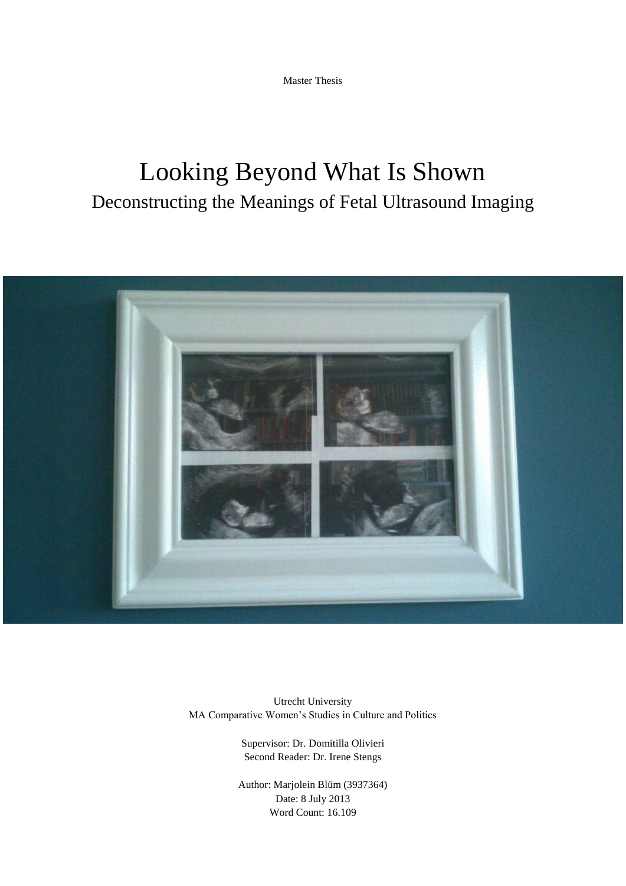Master Thesis

# Looking Beyond What Is Shown Deconstructing the Meanings of Fetal Ultrasound Imaging



Utrecht University MA Comparative Women's Studies in Culture and Politics

> Supervisor: Dr. Domitilla Olivieri Second Reader: Dr. Irene Stengs

Author: Marjolein Blüm (3937364) Date: 8 July 2013 Word Count: 16.109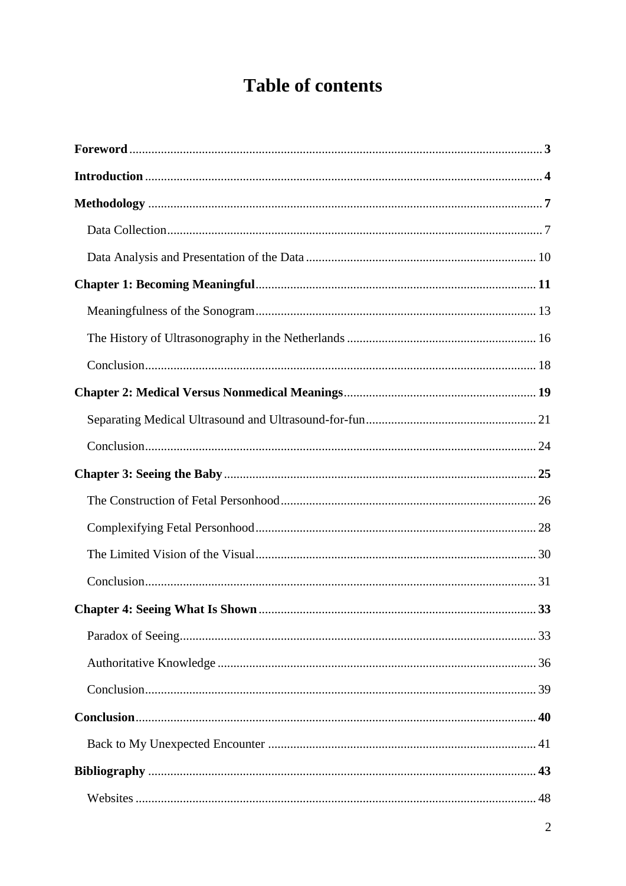## **Table of contents**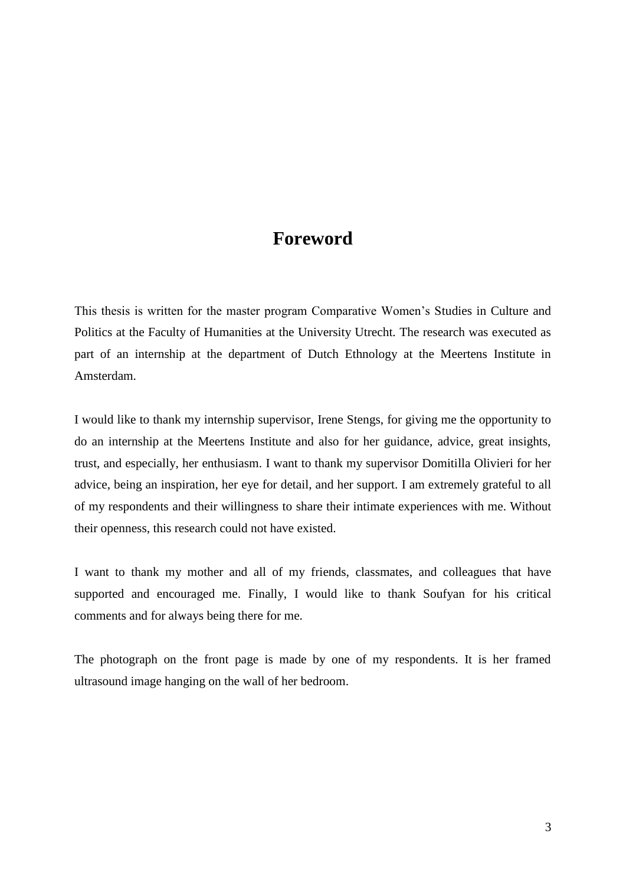### **Foreword**

<span id="page-2-0"></span>This thesis is written for the master program Comparative Women's Studies in Culture and Politics at the Faculty of Humanities at the University Utrecht. The research was executed as part of an internship at the department of Dutch Ethnology at the Meertens Institute in Amsterdam.

I would like to thank my internship supervisor, Irene Stengs, for giving me the opportunity to do an internship at the Meertens Institute and also for her guidance, advice, great insights, trust, and especially, her enthusiasm. I want to thank my supervisor Domitilla Olivieri for her advice, being an inspiration, her eye for detail, and her support. I am extremely grateful to all of my respondents and their willingness to share their intimate experiences with me. Without their openness, this research could not have existed.

I want to thank my mother and all of my friends, classmates, and colleagues that have supported and encouraged me. Finally, I would like to thank Soufyan for his critical comments and for always being there for me.

The photograph on the front page is made by one of my respondents. It is her framed ultrasound image hanging on the wall of her bedroom.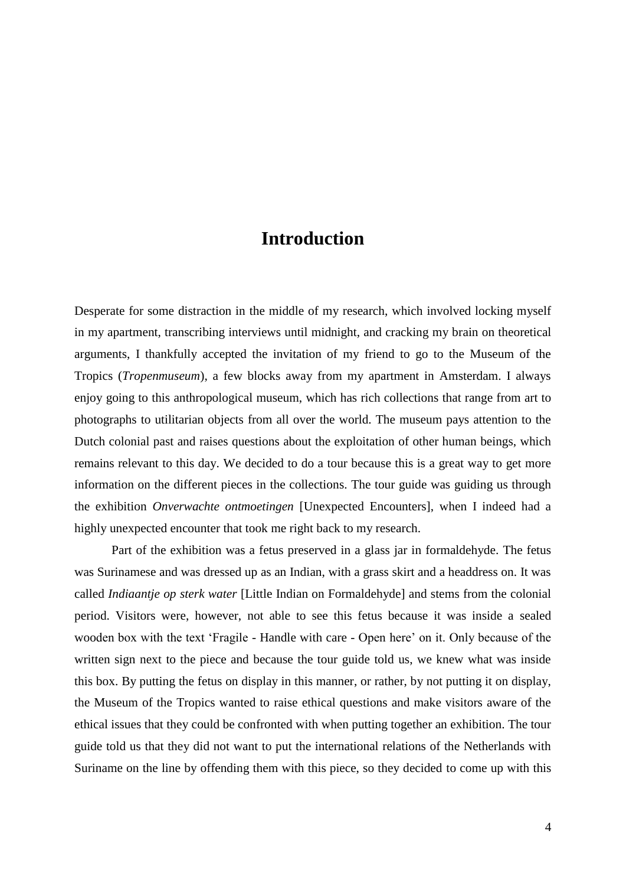### **Introduction**

<span id="page-3-0"></span>Desperate for some distraction in the middle of my research, which involved locking myself in my apartment, transcribing interviews until midnight, and cracking my brain on theoretical arguments, I thankfully accepted the invitation of my friend to go to the Museum of the Tropics (*Tropenmuseum*), a few blocks away from my apartment in Amsterdam. I always enjoy going to this anthropological museum, which has rich collections that range from art to photographs to utilitarian objects from all over the world. The museum pays attention to the Dutch colonial past and raises questions about the exploitation of other human beings, which remains relevant to this day. We decided to do a tour because this is a great way to get more information on the different pieces in the collections. The tour guide was guiding us through the exhibition *Onverwachte ontmoetingen* [Unexpected Encounters], when I indeed had a highly unexpected encounter that took me right back to my research.

Part of the exhibition was a fetus preserved in a glass jar in formaldehyde. The fetus was Surinamese and was dressed up as an Indian, with a grass skirt and a headdress on. It was called *Indiaantje op sterk water* [Little Indian on Formaldehyde] and stems from the colonial period. Visitors were, however, not able to see this fetus because it was inside a sealed wooden box with the text 'Fragile - Handle with care - Open here' on it. Only because of the written sign next to the piece and because the tour guide told us, we knew what was inside this box. By putting the fetus on display in this manner, or rather, by not putting it on display, the Museum of the Tropics wanted to raise ethical questions and make visitors aware of the ethical issues that they could be confronted with when putting together an exhibition. The tour guide told us that they did not want to put the international relations of the Netherlands with Suriname on the line by offending them with this piece, so they decided to come up with this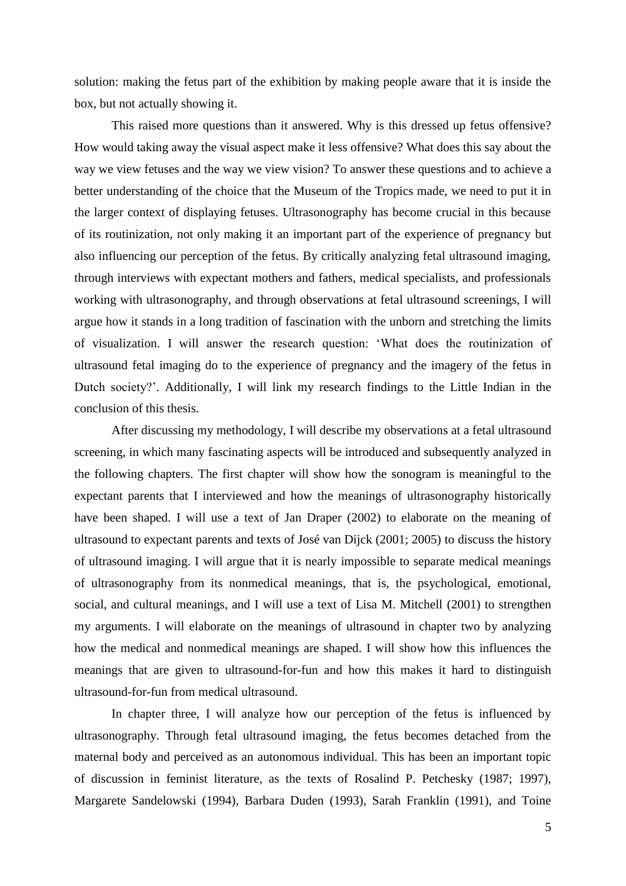solution: making the fetus part of the exhibition by making people aware that it is inside the box, but not actually showing it.

This raised more questions than it answered. Why is this dressed up fetus offensive? How would taking away the visual aspect make it less offensive? What does this say about the way we view fetuses and the way we view vision? To answer these questions and to achieve a better understanding of the choice that the Museum of the Tropics made, we need to put it in the larger context of displaying fetuses. Ultrasonography has become crucial in this because of its routinization, not only making it an important part of the experience of pregnancy but also influencing our perception of the fetus. By critically analyzing fetal ultrasound imaging, through interviews with expectant mothers and fathers, medical specialists, and professionals working with ultrasonography, and through observations at fetal ultrasound screenings, I will argue how it stands in a long tradition of fascination with the unborn and stretching the limits of visualization. I will answer the research question: 'What does the routinization of ultrasound fetal imaging do to the experience of pregnancy and the imagery of the fetus in Dutch society?'. Additionally, I will link my research findings to the Little Indian in the conclusion of this thesis.

After discussing my methodology, I will describe my observations at a fetal ultrasound screening, in which many fascinating aspects will be introduced and subsequently analyzed in the following chapters. The first chapter will show how the sonogram is meaningful to the expectant parents that I interviewed and how the meanings of ultrasonography historically have been shaped. I will use a text of Jan Draper (2002) to elaborate on the meaning of ultrasound to expectant parents and texts of José van Dijck (2001; 2005) to discuss the history of ultrasound imaging. I will argue that it is nearly impossible to separate medical meanings of ultrasonography from its nonmedical meanings, that is, the psychological, emotional, social, and cultural meanings, and I will use a text of Lisa M. Mitchell (2001) to strengthen my arguments. I will elaborate on the meanings of ultrasound in chapter two by analyzing how the medical and nonmedical meanings are shaped. I will show how this influences the meanings that are given to ultrasound-for-fun and how this makes it hard to distinguish ultrasound-for-fun from medical ultrasound.

In chapter three, I will analyze how our perception of the fetus is influenced by ultrasonography. Through fetal ultrasound imaging, the fetus becomes detached from the maternal body and perceived as an autonomous individual. This has been an important topic of discussion in feminist literature, as the texts of Rosalind P. Petchesky (1987; 1997), Margarete Sandelowski (1994), Barbara Duden (1993), Sarah Franklin (1991), and Toine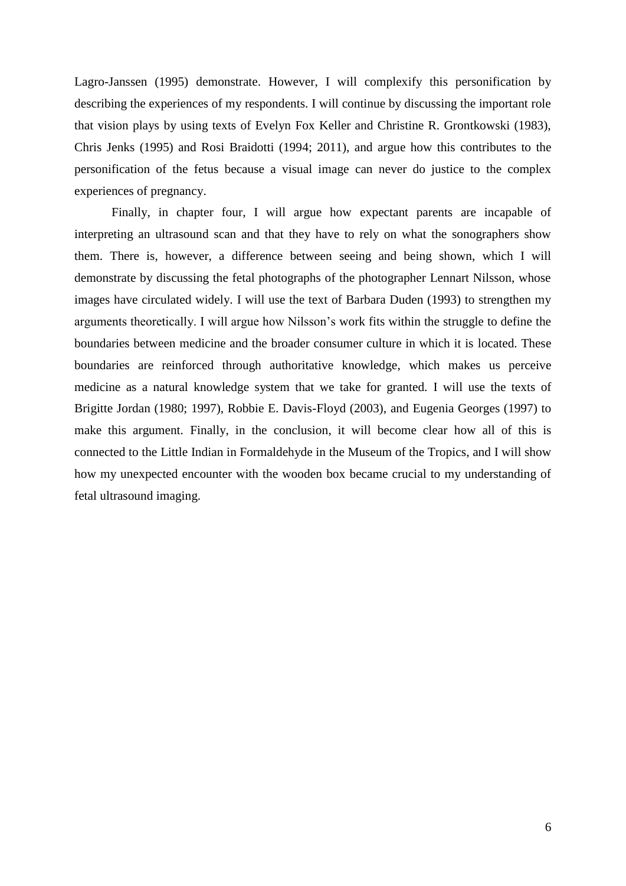Lagro-Janssen (1995) demonstrate. However, I will complexify this personification by describing the experiences of my respondents. I will continue by discussing the important role that vision plays by using texts of Evelyn Fox Keller and Christine R. Grontkowski (1983), Chris Jenks (1995) and Rosi Braidotti (1994; 2011), and argue how this contributes to the personification of the fetus because a visual image can never do justice to the complex experiences of pregnancy.

Finally, in chapter four, I will argue how expectant parents are incapable of interpreting an ultrasound scan and that they have to rely on what the sonographers show them. There is, however, a difference between seeing and being shown, which I will demonstrate by discussing the fetal photographs of the photographer Lennart Nilsson, whose images have circulated widely. I will use the text of Barbara Duden (1993) to strengthen my arguments theoretically. I will argue how Nilsson's work fits within the struggle to define the boundaries between medicine and the broader consumer culture in which it is located. These boundaries are reinforced through authoritative knowledge, which makes us perceive medicine as a natural knowledge system that we take for granted. I will use the texts of Brigitte Jordan (1980; 1997), Robbie E. Davis-Floyd (2003), and Eugenia Georges (1997) to make this argument. Finally, in the conclusion, it will become clear how all of this is connected to the Little Indian in Formaldehyde in the Museum of the Tropics, and I will show how my unexpected encounter with the wooden box became crucial to my understanding of fetal ultrasound imaging.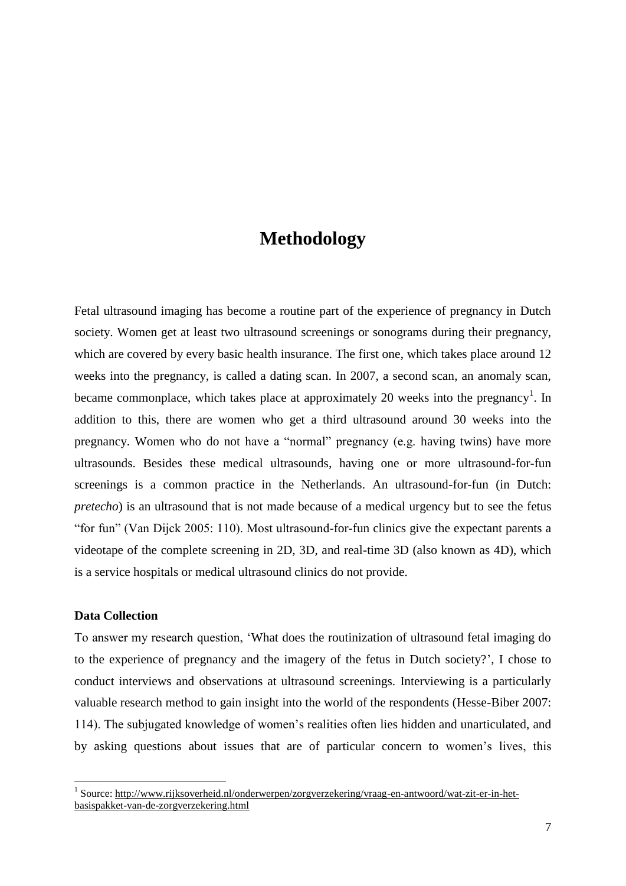### **Methodology**

<span id="page-6-0"></span>Fetal ultrasound imaging has become a routine part of the experience of pregnancy in Dutch society. Women get at least two ultrasound screenings or sonograms during their pregnancy, which are covered by every basic health insurance. The first one, which takes place around 12 weeks into the pregnancy, is called a dating scan. In 2007, a second scan, an anomaly scan, became commonplace, which takes place at approximately 20 weeks into the pregnancy<sup>1</sup>. In addition to this, there are women who get a third ultrasound around 30 weeks into the pregnancy. Women who do not have a "normal" pregnancy (e.g. having twins) have more ultrasounds. Besides these medical ultrasounds, having one or more ultrasound-for-fun screenings is a common practice in the Netherlands. An ultrasound-for-fun (in Dutch: *pretecho*) is an ultrasound that is not made because of a medical urgency but to see the fetus "for fun" (Van Dijck 2005: 110). Most ultrasound-for-fun clinics give the expectant parents a videotape of the complete screening in 2D, 3D, and real-time 3D (also known as 4D), which is a service hospitals or medical ultrasound clinics do not provide.

#### <span id="page-6-1"></span>**Data Collection**

<u>.</u>

To answer my research question, 'What does the routinization of ultrasound fetal imaging do to the experience of pregnancy and the imagery of the fetus in Dutch society?', I chose to conduct interviews and observations at ultrasound screenings. Interviewing is a particularly valuable research method to gain insight into the world of the respondents (Hesse-Biber 2007: 114). The subjugated knowledge of women's realities often lies hidden and unarticulated, and by asking questions about issues that are of particular concern to women's lives, this

<sup>&</sup>lt;sup>1</sup> Source[: http://www.rijksoverheid.nl/onderwerpen/zorgverzekering/vraag-en-antwoord/wat-zit-er-in-het](http://www.rijksoverheid.nl/onderwerpen/zorgverzekering/vraag-en-antwoord/wat-zit-er-in-het-basispakket-van-de-zorgverzekering.html)[basispakket-van-de-zorgverzekering.html](http://www.rijksoverheid.nl/onderwerpen/zorgverzekering/vraag-en-antwoord/wat-zit-er-in-het-basispakket-van-de-zorgverzekering.html)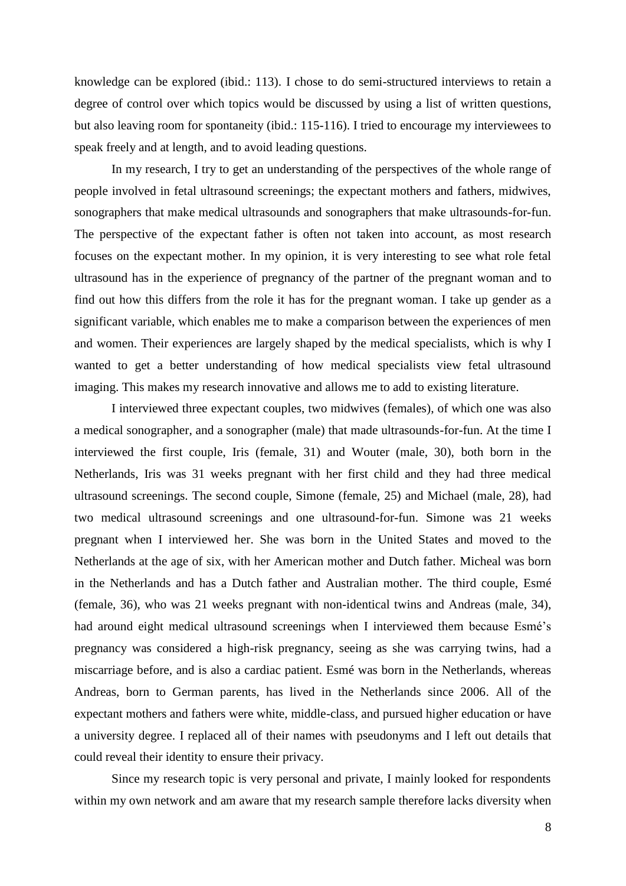knowledge can be explored (ibid.: 113). I chose to do semi-structured interviews to retain a degree of control over which topics would be discussed by using a list of written questions, but also leaving room for spontaneity (ibid.: 115-116). I tried to encourage my interviewees to speak freely and at length, and to avoid leading questions.

In my research, I try to get an understanding of the perspectives of the whole range of people involved in fetal ultrasound screenings; the expectant mothers and fathers, midwives, sonographers that make medical ultrasounds and sonographers that make ultrasounds-for-fun. The perspective of the expectant father is often not taken into account, as most research focuses on the expectant mother. In my opinion, it is very interesting to see what role fetal ultrasound has in the experience of pregnancy of the partner of the pregnant woman and to find out how this differs from the role it has for the pregnant woman. I take up gender as a significant variable, which enables me to make a comparison between the experiences of men and women. Their experiences are largely shaped by the medical specialists, which is why I wanted to get a better understanding of how medical specialists view fetal ultrasound imaging. This makes my research innovative and allows me to add to existing literature.

I interviewed three expectant couples, two midwives (females), of which one was also a medical sonographer, and a sonographer (male) that made ultrasounds-for-fun. At the time I interviewed the first couple, Iris (female, 31) and Wouter (male, 30), both born in the Netherlands, Iris was 31 weeks pregnant with her first child and they had three medical ultrasound screenings. The second couple, Simone (female, 25) and Michael (male, 28), had two medical ultrasound screenings and one ultrasound-for-fun. Simone was 21 weeks pregnant when I interviewed her. She was born in the United States and moved to the Netherlands at the age of six, with her American mother and Dutch father. Micheal was born in the Netherlands and has a Dutch father and Australian mother. The third couple, Esmé (female, 36), who was 21 weeks pregnant with non-identical twins and Andreas (male, 34), had around eight medical ultrasound screenings when I interviewed them because Esmé's pregnancy was considered a high-risk pregnancy, seeing as she was carrying twins, had a miscarriage before, and is also a cardiac patient. Esmé was born in the Netherlands, whereas Andreas, born to German parents, has lived in the Netherlands since 2006. All of the expectant mothers and fathers were white, middle-class, and pursued higher education or have a university degree. I replaced all of their names with pseudonyms and I left out details that could reveal their identity to ensure their privacy.

Since my research topic is very personal and private, I mainly looked for respondents within my own network and am aware that my research sample therefore lacks diversity when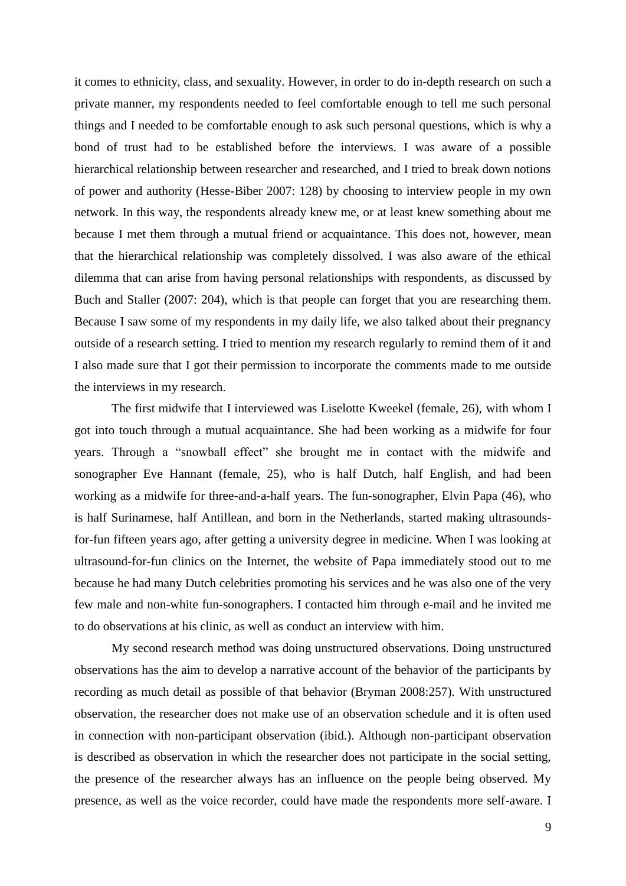it comes to ethnicity, class, and sexuality. However, in order to do in-depth research on such a private manner, my respondents needed to feel comfortable enough to tell me such personal things and I needed to be comfortable enough to ask such personal questions, which is why a bond of trust had to be established before the interviews. I was aware of a possible hierarchical relationship between researcher and researched, and I tried to break down notions of power and authority (Hesse-Biber 2007: 128) by choosing to interview people in my own network. In this way, the respondents already knew me, or at least knew something about me because I met them through a mutual friend or acquaintance. This does not, however, mean that the hierarchical relationship was completely dissolved. I was also aware of the ethical dilemma that can arise from having personal relationships with respondents, as discussed by Buch and Staller (2007: 204), which is that people can forget that you are researching them. Because I saw some of my respondents in my daily life, we also talked about their pregnancy outside of a research setting. I tried to mention my research regularly to remind them of it and I also made sure that I got their permission to incorporate the comments made to me outside the interviews in my research.

The first midwife that I interviewed was Liselotte Kweekel (female, 26), with whom I got into touch through a mutual acquaintance. She had been working as a midwife for four years. Through a "snowball effect" she brought me in contact with the midwife and sonographer Eve Hannant (female, 25), who is half Dutch, half English, and had been working as a midwife for three-and-a-half years. The fun-sonographer, Elvin Papa (46), who is half Surinamese, half Antillean, and born in the Netherlands, started making ultrasoundsfor-fun fifteen years ago, after getting a university degree in medicine. When I was looking at ultrasound-for-fun clinics on the Internet, the website of Papa immediately stood out to me because he had many Dutch celebrities promoting his services and he was also one of the very few male and non-white fun-sonographers. I contacted him through e-mail and he invited me to do observations at his clinic, as well as conduct an interview with him.

My second research method was doing unstructured observations. Doing unstructured observations has the aim to develop a narrative account of the behavior of the participants by recording as much detail as possible of that behavior (Bryman 2008:257). With unstructured observation, the researcher does not make use of an observation schedule and it is often used in connection with non-participant observation (ibid.). Although non-participant observation is described as observation in which the researcher does not participate in the social setting, the presence of the researcher always has an influence on the people being observed. My presence, as well as the voice recorder, could have made the respondents more self-aware. I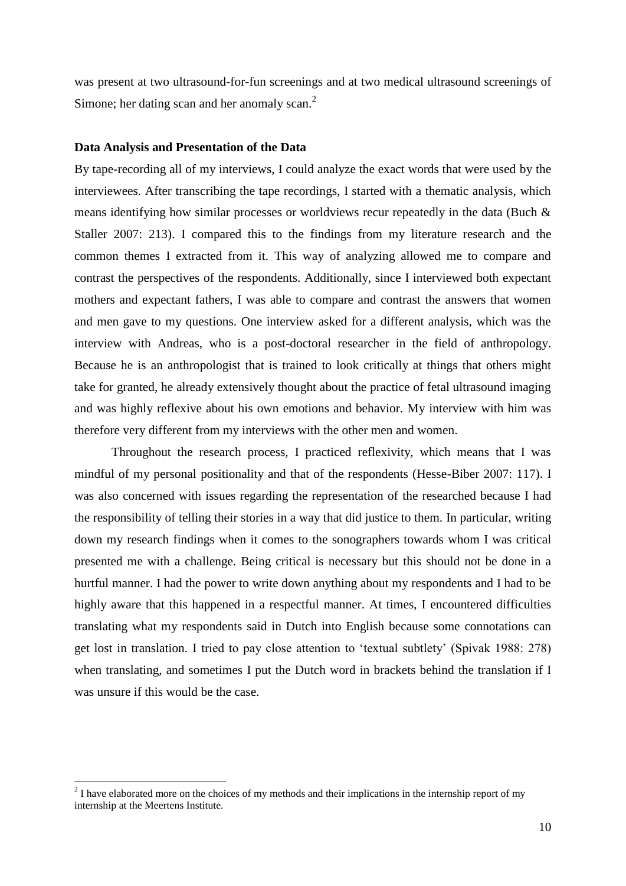was present at two ultrasound-for-fun screenings and at two medical ultrasound screenings of Simone; her dating scan and her anomaly scan.<sup>2</sup>

#### <span id="page-9-0"></span>**Data Analysis and Presentation of the Data**

By tape-recording all of my interviews, I could analyze the exact words that were used by the interviewees. After transcribing the tape recordings, I started with a thematic analysis, which means identifying how similar processes or worldviews recur repeatedly in the data (Buch & Staller 2007: 213). I compared this to the findings from my literature research and the common themes I extracted from it. This way of analyzing allowed me to compare and contrast the perspectives of the respondents. Additionally, since I interviewed both expectant mothers and expectant fathers, I was able to compare and contrast the answers that women and men gave to my questions. One interview asked for a different analysis, which was the interview with Andreas, who is a post-doctoral researcher in the field of anthropology. Because he is an anthropologist that is trained to look critically at things that others might take for granted, he already extensively thought about the practice of fetal ultrasound imaging and was highly reflexive about his own emotions and behavior. My interview with him was therefore very different from my interviews with the other men and women.

Throughout the research process, I practiced reflexivity, which means that I was mindful of my personal positionality and that of the respondents (Hesse-Biber 2007: 117). I was also concerned with issues regarding the representation of the researched because I had the responsibility of telling their stories in a way that did justice to them. In particular, writing down my research findings when it comes to the sonographers towards whom I was critical presented me with a challenge. Being critical is necessary but this should not be done in a hurtful manner. I had the power to write down anything about my respondents and I had to be highly aware that this happened in a respectful manner. At times, I encountered difficulties translating what my respondents said in Dutch into English because some connotations can get lost in translation. I tried to pay close attention to 'textual subtlety' (Spivak 1988: 278) when translating, and sometimes I put the Dutch word in brackets behind the translation if I was unsure if this would be the case.

<u>.</u>

 $2<sup>2</sup>$  I have elaborated more on the choices of my methods and their implications in the internship report of my internship at the Meertens Institute.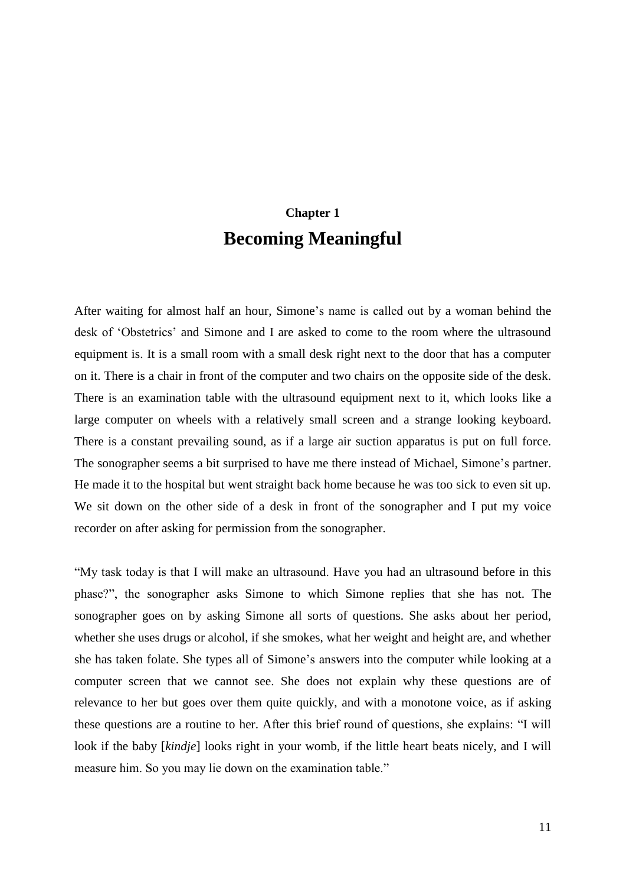## **Chapter 1 Becoming Meaningful**

<span id="page-10-0"></span>After waiting for almost half an hour, Simone's name is called out by a woman behind the desk of 'Obstetrics' and Simone and I are asked to come to the room where the ultrasound equipment is. It is a small room with a small desk right next to the door that has a computer on it. There is a chair in front of the computer and two chairs on the opposite side of the desk. There is an examination table with the ultrasound equipment next to it, which looks like a large computer on wheels with a relatively small screen and a strange looking keyboard. There is a constant prevailing sound, as if a large air suction apparatus is put on full force. The sonographer seems a bit surprised to have me there instead of Michael, Simone's partner. He made it to the hospital but went straight back home because he was too sick to even sit up. We sit down on the other side of a desk in front of the sonographer and I put my voice recorder on after asking for permission from the sonographer.

"My task today is that I will make an ultrasound. Have you had an ultrasound before in this phase?", the sonographer asks Simone to which Simone replies that she has not. The sonographer goes on by asking Simone all sorts of questions. She asks about her period, whether she uses drugs or alcohol, if she smokes, what her weight and height are, and whether she has taken folate. She types all of Simone's answers into the computer while looking at a computer screen that we cannot see. She does not explain why these questions are of relevance to her but goes over them quite quickly, and with a monotone voice, as if asking these questions are a routine to her. After this brief round of questions, she explains: "I will look if the baby [*kindje*] looks right in your womb, if the little heart beats nicely, and I will measure him. So you may lie down on the examination table."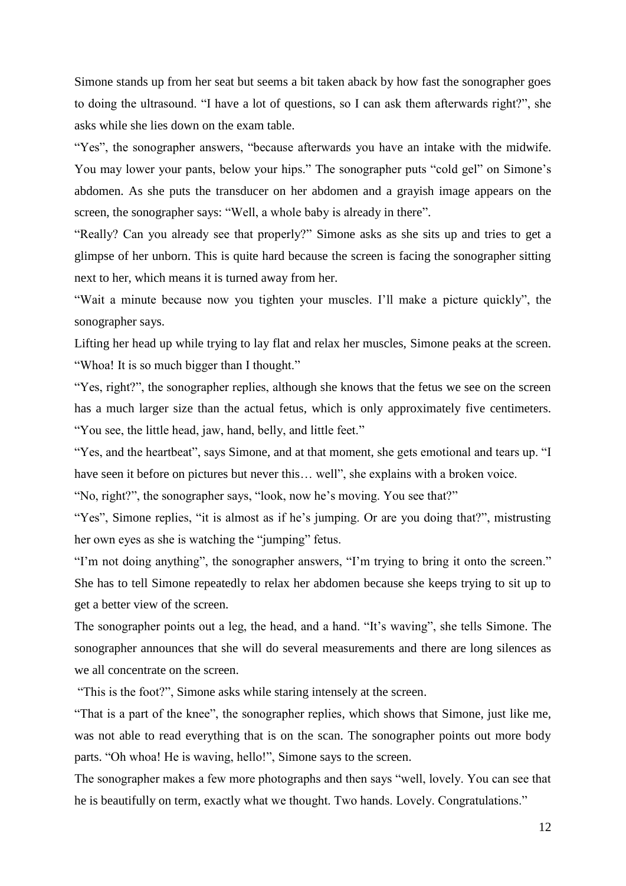Simone stands up from her seat but seems a bit taken aback by how fast the sonographer goes to doing the ultrasound. "I have a lot of questions, so I can ask them afterwards right?", she asks while she lies down on the exam table.

"Yes", the sonographer answers, "because afterwards you have an intake with the midwife. You may lower your pants, below your hips." The sonographer puts "cold gel" on Simone's abdomen. As she puts the transducer on her abdomen and a grayish image appears on the screen, the sonographer says: "Well, a whole baby is already in there".

"Really? Can you already see that properly?" Simone asks as she sits up and tries to get a glimpse of her unborn. This is quite hard because the screen is facing the sonographer sitting next to her, which means it is turned away from her.

"Wait a minute because now you tighten your muscles. I'll make a picture quickly", the sonographer says.

Lifting her head up while trying to lay flat and relax her muscles, Simone peaks at the screen. "Whoa! It is so much bigger than I thought."

"Yes, right?", the sonographer replies, although she knows that the fetus we see on the screen has a much larger size than the actual fetus, which is only approximately five centimeters. "You see, the little head, jaw, hand, belly, and little feet."

"Yes, and the heartbeat", says Simone, and at that moment, she gets emotional and tears up. "I have seen it before on pictures but never this... well", she explains with a broken voice.

"No, right?", the sonographer says, "look, now he's moving. You see that?"

"Yes", Simone replies, "it is almost as if he's jumping. Or are you doing that?", mistrusting her own eyes as she is watching the "jumping" fetus.

"I'm not doing anything", the sonographer answers, "I'm trying to bring it onto the screen." She has to tell Simone repeatedly to relax her abdomen because she keeps trying to sit up to get a better view of the screen.

The sonographer points out a leg, the head, and a hand. "It's waving", she tells Simone. The sonographer announces that she will do several measurements and there are long silences as we all concentrate on the screen.

"This is the foot?", Simone asks while staring intensely at the screen.

"That is a part of the knee", the sonographer replies, which shows that Simone, just like me, was not able to read everything that is on the scan. The sonographer points out more body parts. "Oh whoa! He is waving, hello!", Simone says to the screen.

The sonographer makes a few more photographs and then says "well, lovely. You can see that he is beautifully on term, exactly what we thought. Two hands. Lovely. Congratulations."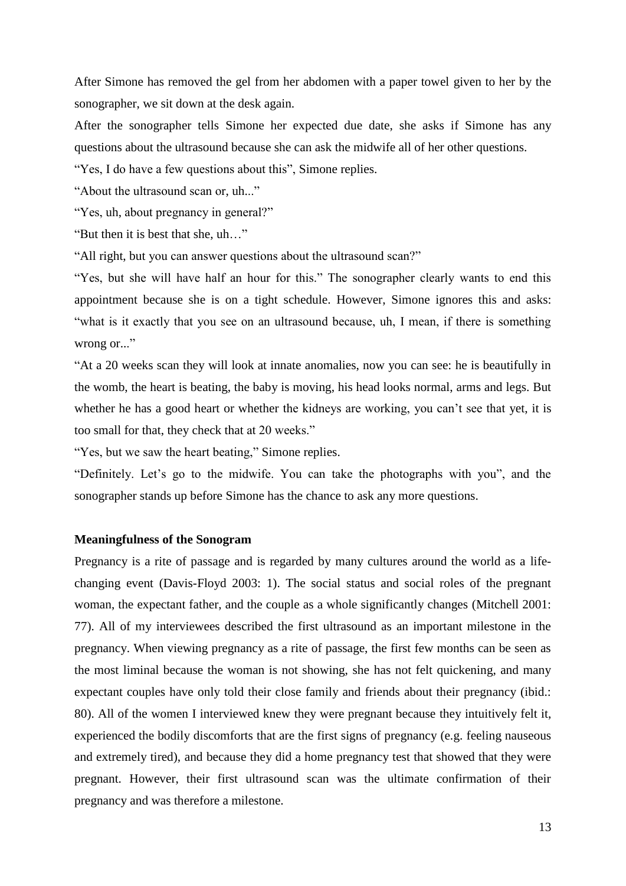After Simone has removed the gel from her abdomen with a paper towel given to her by the sonographer, we sit down at the desk again.

After the sonographer tells Simone her expected due date, she asks if Simone has any questions about the ultrasound because she can ask the midwife all of her other questions.

"Yes, I do have a few questions about this", Simone replies.

"About the ultrasound scan or, uh..."

"Yes, uh, about pregnancy in general?"

"But then it is best that she, uh…"

"All right, but you can answer questions about the ultrasound scan?"

"Yes, but she will have half an hour for this." The sonographer clearly wants to end this appointment because she is on a tight schedule. However, Simone ignores this and asks: "what is it exactly that you see on an ultrasound because, uh, I mean, if there is something wrong or..."

"At a 20 weeks scan they will look at innate anomalies, now you can see: he is beautifully in the womb, the heart is beating, the baby is moving, his head looks normal, arms and legs. But whether he has a good heart or whether the kidneys are working, you can't see that yet, it is too small for that, they check that at 20 weeks."

"Yes, but we saw the heart beating," Simone replies.

"Definitely. Let's go to the midwife. You can take the photographs with you", and the sonographer stands up before Simone has the chance to ask any more questions.

#### <span id="page-12-0"></span>**Meaningfulness of the Sonogram**

Pregnancy is a rite of passage and is regarded by many cultures around the world as a lifechanging event (Davis-Floyd 2003: 1). The social status and social roles of the pregnant woman, the expectant father, and the couple as a whole significantly changes (Mitchell 2001: 77). All of my interviewees described the first ultrasound as an important milestone in the pregnancy. When viewing pregnancy as a rite of passage, the first few months can be seen as the most liminal because the woman is not showing, she has not felt quickening, and many expectant couples have only told their close family and friends about their pregnancy (ibid.: 80). All of the women I interviewed knew they were pregnant because they intuitively felt it, experienced the bodily discomforts that are the first signs of pregnancy (e.g. feeling nauseous and extremely tired), and because they did a home pregnancy test that showed that they were pregnant. However, their first ultrasound scan was the ultimate confirmation of their pregnancy and was therefore a milestone.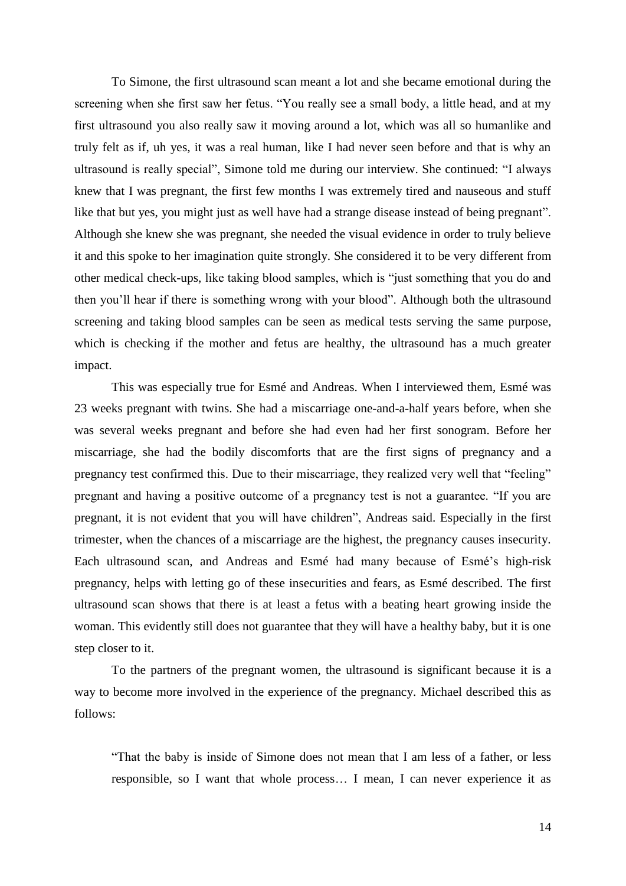To Simone, the first ultrasound scan meant a lot and she became emotional during the screening when she first saw her fetus. "You really see a small body, a little head, and at my first ultrasound you also really saw it moving around a lot, which was all so humanlike and truly felt as if, uh yes, it was a real human, like I had never seen before and that is why an ultrasound is really special", Simone told me during our interview. She continued: "I always knew that I was pregnant, the first few months I was extremely tired and nauseous and stuff like that but yes, you might just as well have had a strange disease instead of being pregnant". Although she knew she was pregnant, she needed the visual evidence in order to truly believe it and this spoke to her imagination quite strongly. She considered it to be very different from other medical check-ups, like taking blood samples, which is "just something that you do and then you'll hear if there is something wrong with your blood". Although both the ultrasound screening and taking blood samples can be seen as medical tests serving the same purpose, which is checking if the mother and fetus are healthy, the ultrasound has a much greater impact.

This was especially true for Esmé and Andreas. When I interviewed them, Esmé was 23 weeks pregnant with twins. She had a miscarriage one-and-a-half years before, when she was several weeks pregnant and before she had even had her first sonogram. Before her miscarriage, she had the bodily discomforts that are the first signs of pregnancy and a pregnancy test confirmed this. Due to their miscarriage, they realized very well that "feeling" pregnant and having a positive outcome of a pregnancy test is not a guarantee. "If you are pregnant, it is not evident that you will have children", Andreas said. Especially in the first trimester, when the chances of a miscarriage are the highest, the pregnancy causes insecurity. Each ultrasound scan, and Andreas and Esmé had many because of Esmé's high-risk pregnancy, helps with letting go of these insecurities and fears, as Esmé described. The first ultrasound scan shows that there is at least a fetus with a beating heart growing inside the woman. This evidently still does not guarantee that they will have a healthy baby, but it is one step closer to it.

To the partners of the pregnant women, the ultrasound is significant because it is a way to become more involved in the experience of the pregnancy. Michael described this as follows:

"That the baby is inside of Simone does not mean that I am less of a father, or less responsible, so I want that whole process… I mean, I can never experience it as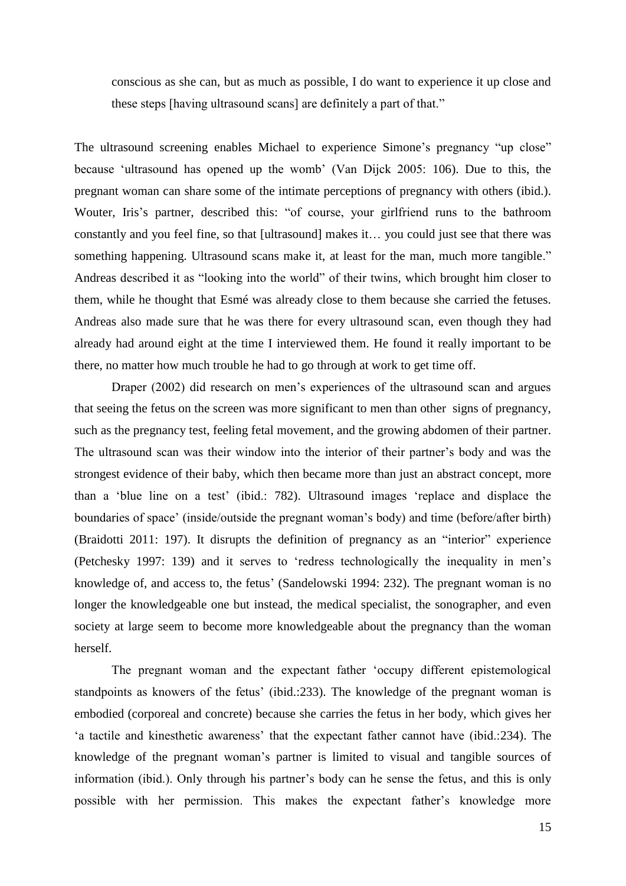conscious as she can, but as much as possible, I do want to experience it up close and these steps [having ultrasound scans] are definitely a part of that."

The ultrasound screening enables Michael to experience Simone's pregnancy "up close" because 'ultrasound has opened up the womb' (Van Dijck 2005: 106). Due to this, the pregnant woman can share some of the intimate perceptions of pregnancy with others (ibid.). Wouter, Iris's partner, described this: "of course, your girlfriend runs to the bathroom constantly and you feel fine, so that [ultrasound] makes it… you could just see that there was something happening. Ultrasound scans make it, at least for the man, much more tangible." Andreas described it as "looking into the world" of their twins, which brought him closer to them, while he thought that Esmé was already close to them because she carried the fetuses. Andreas also made sure that he was there for every ultrasound scan, even though they had already had around eight at the time I interviewed them. He found it really important to be there, no matter how much trouble he had to go through at work to get time off.

Draper (2002) did research on men's experiences of the ultrasound scan and argues that seeing the fetus on the screen was more significant to men than other signs of pregnancy, such as the pregnancy test, feeling fetal movement, and the growing abdomen of their partner. The ultrasound scan was their window into the interior of their partner's body and was the strongest evidence of their baby, which then became more than just an abstract concept, more than a 'blue line on a test' (ibid.: 782). Ultrasound images 'replace and displace the boundaries of space' (inside/outside the pregnant woman's body) and time (before/after birth) (Braidotti 2011: 197). It disrupts the definition of pregnancy as an "interior" experience (Petchesky 1997: 139) and it serves to 'redress technologically the inequality in men's knowledge of, and access to, the fetus' (Sandelowski 1994: 232). The pregnant woman is no longer the knowledgeable one but instead, the medical specialist, the sonographer, and even society at large seem to become more knowledgeable about the pregnancy than the woman herself.

The pregnant woman and the expectant father 'occupy different epistemological standpoints as knowers of the fetus' (ibid.:233). The knowledge of the pregnant woman is embodied (corporeal and concrete) because she carries the fetus in her body, which gives her 'a tactile and kinesthetic awareness' that the expectant father cannot have (ibid.:234). The knowledge of the pregnant woman's partner is limited to visual and tangible sources of information (ibid.). Only through his partner's body can he sense the fetus, and this is only possible with her permission. This makes the expectant father's knowledge more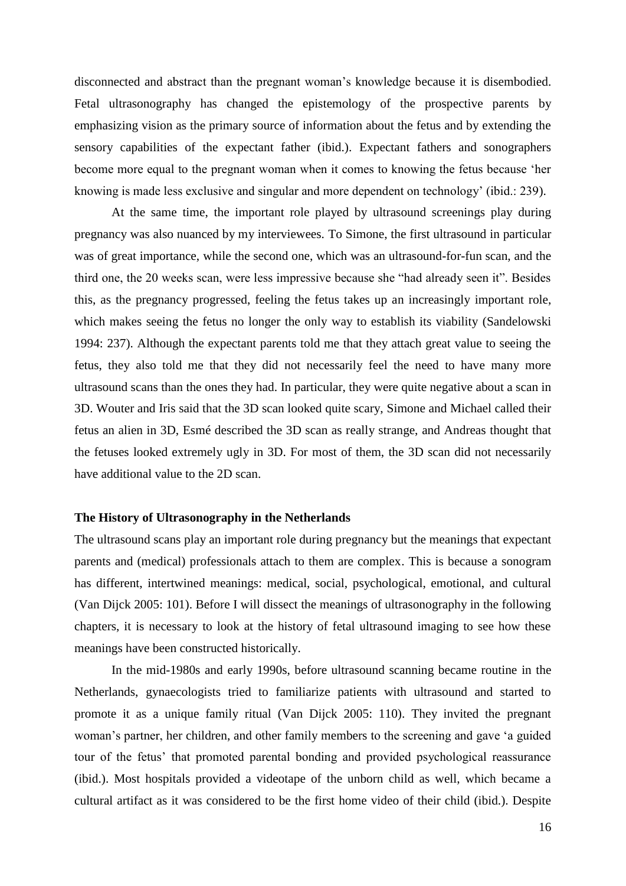disconnected and abstract than the pregnant woman's knowledge because it is disembodied. Fetal ultrasonography has changed the epistemology of the prospective parents by emphasizing vision as the primary source of information about the fetus and by extending the sensory capabilities of the expectant father (ibid.). Expectant fathers and sonographers become more equal to the pregnant woman when it comes to knowing the fetus because 'her knowing is made less exclusive and singular and more dependent on technology' (ibid.: 239).

At the same time, the important role played by ultrasound screenings play during pregnancy was also nuanced by my interviewees. To Simone, the first ultrasound in particular was of great importance, while the second one, which was an ultrasound-for-fun scan, and the third one, the 20 weeks scan, were less impressive because she "had already seen it". Besides this, as the pregnancy progressed, feeling the fetus takes up an increasingly important role, which makes seeing the fetus no longer the only way to establish its viability (Sandelowski 1994: 237). Although the expectant parents told me that they attach great value to seeing the fetus, they also told me that they did not necessarily feel the need to have many more ultrasound scans than the ones they had. In particular, they were quite negative about a scan in 3D. Wouter and Iris said that the 3D scan looked quite scary, Simone and Michael called their fetus an alien in 3D, Esmé described the 3D scan as really strange, and Andreas thought that the fetuses looked extremely ugly in 3D. For most of them, the 3D scan did not necessarily have additional value to the 2D scan.

#### <span id="page-15-0"></span>**The History of Ultrasonography in the Netherlands**

The ultrasound scans play an important role during pregnancy but the meanings that expectant parents and (medical) professionals attach to them are complex. This is because a sonogram has different, intertwined meanings: medical, social, psychological, emotional, and cultural (Van Dijck 2005: 101). Before I will dissect the meanings of ultrasonography in the following chapters, it is necessary to look at the history of fetal ultrasound imaging to see how these meanings have been constructed historically.

In the mid-1980s and early 1990s, before ultrasound scanning became routine in the Netherlands, gynaecologists tried to familiarize patients with ultrasound and started to promote it as a unique family ritual (Van Dijck 2005: 110). They invited the pregnant woman's partner, her children, and other family members to the screening and gave 'a guided tour of the fetus' that promoted parental bonding and provided psychological reassurance (ibid.). Most hospitals provided a videotape of the unborn child as well, which became a cultural artifact as it was considered to be the first home video of their child (ibid.). Despite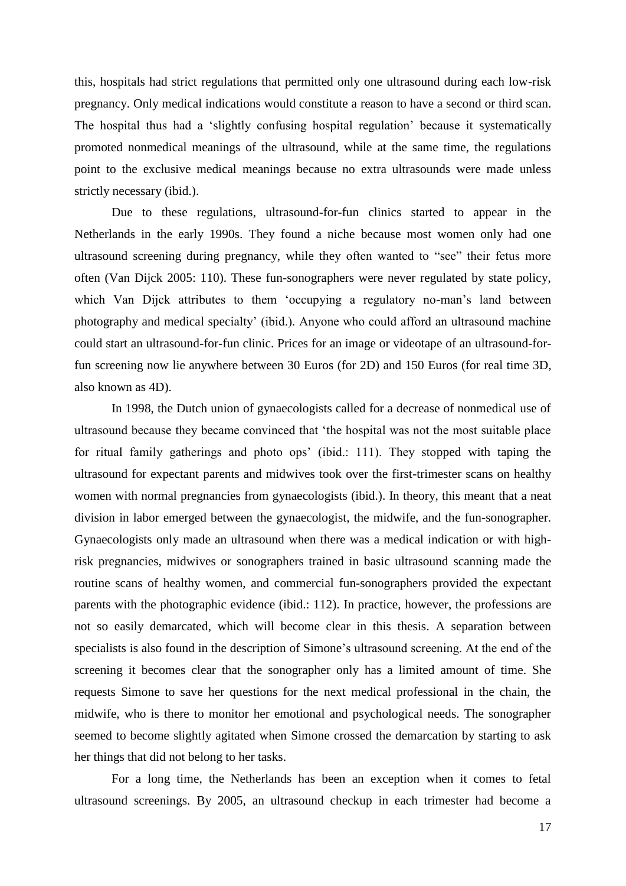this, hospitals had strict regulations that permitted only one ultrasound during each low-risk pregnancy. Only medical indications would constitute a reason to have a second or third scan. The hospital thus had a 'slightly confusing hospital regulation' because it systematically promoted nonmedical meanings of the ultrasound, while at the same time, the regulations point to the exclusive medical meanings because no extra ultrasounds were made unless strictly necessary (ibid.).

Due to these regulations, ultrasound-for-fun clinics started to appear in the Netherlands in the early 1990s. They found a niche because most women only had one ultrasound screening during pregnancy, while they often wanted to "see" their fetus more often (Van Dijck 2005: 110). These fun-sonographers were never regulated by state policy, which Van Dijck attributes to them 'occupying a regulatory no-man's land between photography and medical specialty' (ibid.). Anyone who could afford an ultrasound machine could start an ultrasound-for-fun clinic. Prices for an image or videotape of an ultrasound-forfun screening now lie anywhere between 30 Euros (for 2D) and 150 Euros (for real time 3D, also known as 4D).

In 1998, the Dutch union of gynaecologists called for a decrease of nonmedical use of ultrasound because they became convinced that 'the hospital was not the most suitable place for ritual family gatherings and photo ops' (ibid.: 111). They stopped with taping the ultrasound for expectant parents and midwives took over the first-trimester scans on healthy women with normal pregnancies from gynaecologists (ibid.). In theory, this meant that a neat division in labor emerged between the gynaecologist, the midwife, and the fun-sonographer. Gynaecologists only made an ultrasound when there was a medical indication or with highrisk pregnancies, midwives or sonographers trained in basic ultrasound scanning made the routine scans of healthy women, and commercial fun-sonographers provided the expectant parents with the photographic evidence (ibid.: 112). In practice, however, the professions are not so easily demarcated, which will become clear in this thesis. A separation between specialists is also found in the description of Simone's ultrasound screening. At the end of the screening it becomes clear that the sonographer only has a limited amount of time. She requests Simone to save her questions for the next medical professional in the chain, the midwife, who is there to monitor her emotional and psychological needs. The sonographer seemed to become slightly agitated when Simone crossed the demarcation by starting to ask her things that did not belong to her tasks.

For a long time, the Netherlands has been an exception when it comes to fetal ultrasound screenings. By 2005, an ultrasound checkup in each trimester had become a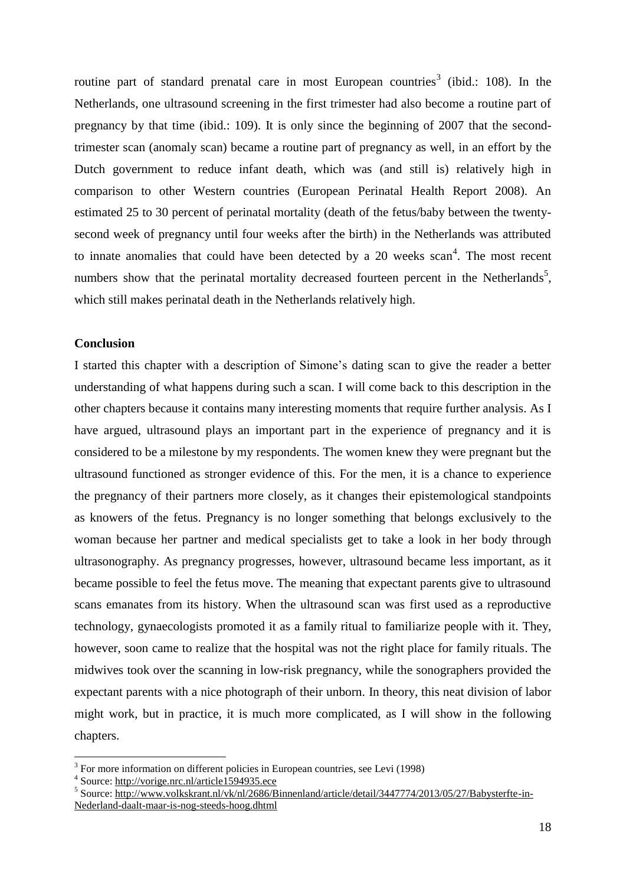routine part of standard prenatal care in most European countries<sup>3</sup> (ibid.: 108). In the Netherlands, one ultrasound screening in the first trimester had also become a routine part of pregnancy by that time (ibid.: 109). It is only since the beginning of 2007 that the secondtrimester scan (anomaly scan) became a routine part of pregnancy as well, in an effort by the Dutch government to reduce infant death, which was (and still is) relatively high in comparison to other Western countries (European Perinatal Health Report 2008). An estimated 25 to 30 percent of perinatal mortality (death of the fetus/baby between the twentysecond week of pregnancy until four weeks after the birth) in the Netherlands was attributed to innate anomalies that could have been detected by a 20 weeks  $scan<sup>4</sup>$ . The most recent numbers show that the perinatal mortality decreased fourteen percent in the Netherlands<sup>5</sup>, which still makes perinatal death in the Netherlands relatively high.

#### <span id="page-17-0"></span>**Conclusion**

I started this chapter with a description of Simone's dating scan to give the reader a better understanding of what happens during such a scan. I will come back to this description in the other chapters because it contains many interesting moments that require further analysis. As I have argued, ultrasound plays an important part in the experience of pregnancy and it is considered to be a milestone by my respondents. The women knew they were pregnant but the ultrasound functioned as stronger evidence of this. For the men, it is a chance to experience the pregnancy of their partners more closely, as it changes their epistemological standpoints as knowers of the fetus. Pregnancy is no longer something that belongs exclusively to the woman because her partner and medical specialists get to take a look in her body through ultrasonography. As pregnancy progresses, however, ultrasound became less important, as it became possible to feel the fetus move. The meaning that expectant parents give to ultrasound scans emanates from its history. When the ultrasound scan was first used as a reproductive technology, gynaecologists promoted it as a family ritual to familiarize people with it. They, however, soon came to realize that the hospital was not the right place for family rituals. The midwives took over the scanning in low-risk pregnancy, while the sonographers provided the expectant parents with a nice photograph of their unborn. In theory, this neat division of labor might work, but in practice, it is much more complicated, as I will show in the following chapters.

1

<sup>&</sup>lt;sup>3</sup> For more information on different policies in European countries, see Levi (1998)

<sup>&</sup>lt;sup>4</sup> Source[: http://vorige.nrc.nl/article1594935.ece](http://vorige.nrc.nl/article1594935.ece)

<sup>&</sup>lt;sup>5</sup> Source[: http://www.volkskrant.nl/vk/nl/2686/Binnenland/article/detail/3447774/2013/05/27/Babysterfte-in-](http://www.volkskrant.nl/vk/nl/2686/Binnenland/article/detail/3447774/2013/05/27/Babysterfte-in-Nederland-daalt-maar-is-nog-steeds-hoog.dhtml)[Nederland-daalt-maar-is-nog-steeds-hoog.dhtml](http://www.volkskrant.nl/vk/nl/2686/Binnenland/article/detail/3447774/2013/05/27/Babysterfte-in-Nederland-daalt-maar-is-nog-steeds-hoog.dhtml)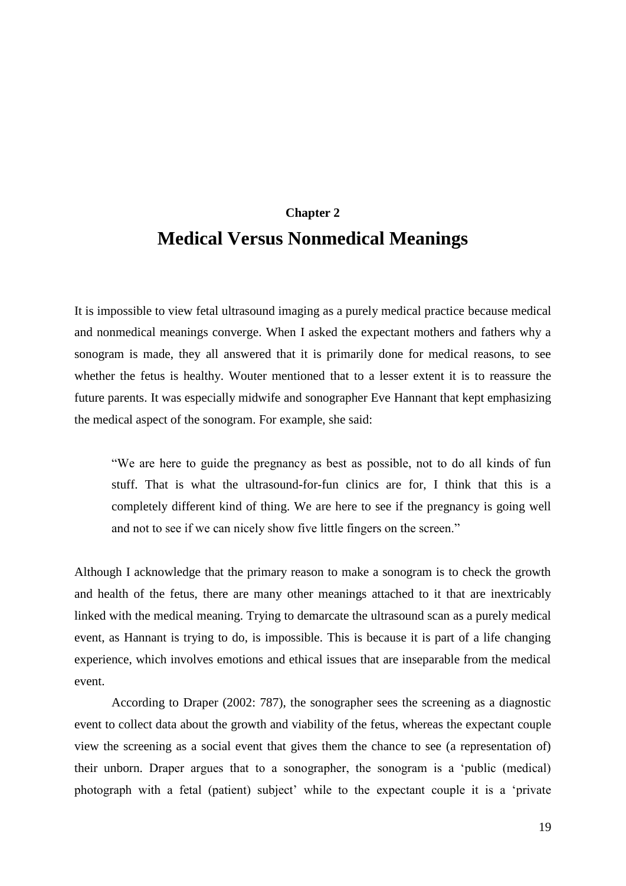## **Chapter 2 Medical Versus Nonmedical Meanings**

<span id="page-18-0"></span>It is impossible to view fetal ultrasound imaging as a purely medical practice because medical and nonmedical meanings converge. When I asked the expectant mothers and fathers why a sonogram is made, they all answered that it is primarily done for medical reasons, to see whether the fetus is healthy. Wouter mentioned that to a lesser extent it is to reassure the future parents. It was especially midwife and sonographer Eve Hannant that kept emphasizing the medical aspect of the sonogram. For example, she said:

"We are here to guide the pregnancy as best as possible, not to do all kinds of fun stuff. That is what the ultrasound-for-fun clinics are for, I think that this is a completely different kind of thing. We are here to see if the pregnancy is going well and not to see if we can nicely show five little fingers on the screen."

Although I acknowledge that the primary reason to make a sonogram is to check the growth and health of the fetus, there are many other meanings attached to it that are inextricably linked with the medical meaning. Trying to demarcate the ultrasound scan as a purely medical event, as Hannant is trying to do, is impossible. This is because it is part of a life changing experience, which involves emotions and ethical issues that are inseparable from the medical event.

According to Draper (2002: 787), the sonographer sees the screening as a diagnostic event to collect data about the growth and viability of the fetus, whereas the expectant couple view the screening as a social event that gives them the chance to see (a representation of) their unborn. Draper argues that to a sonographer, the sonogram is a 'public (medical) photograph with a fetal (patient) subject' while to the expectant couple it is a 'private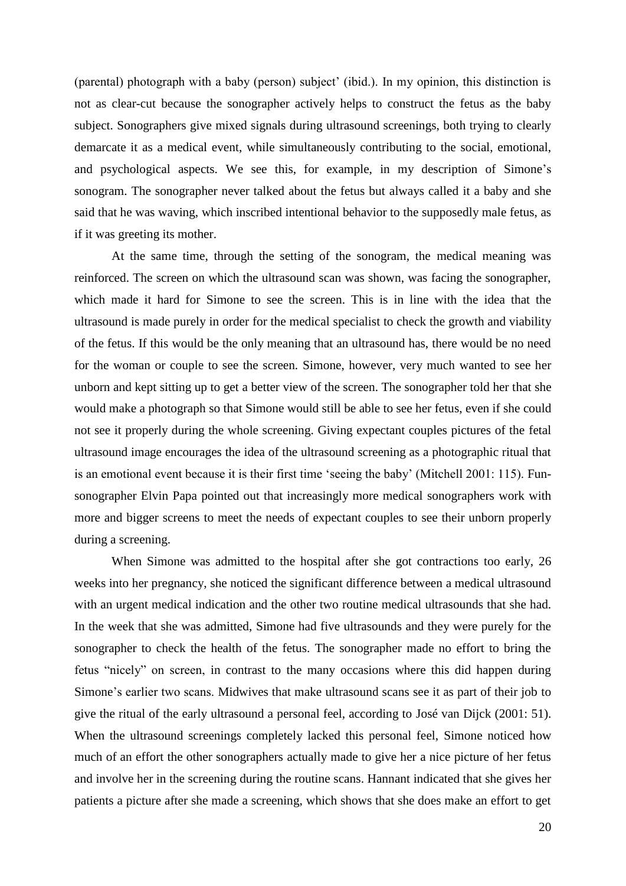(parental) photograph with a baby (person) subject' (ibid.). In my opinion, this distinction is not as clear-cut because the sonographer actively helps to construct the fetus as the baby subject. Sonographers give mixed signals during ultrasound screenings, both trying to clearly demarcate it as a medical event, while simultaneously contributing to the social, emotional, and psychological aspects. We see this, for example, in my description of Simone's sonogram. The sonographer never talked about the fetus but always called it a baby and she said that he was waving, which inscribed intentional behavior to the supposedly male fetus, as if it was greeting its mother.

At the same time, through the setting of the sonogram, the medical meaning was reinforced. The screen on which the ultrasound scan was shown, was facing the sonographer, which made it hard for Simone to see the screen. This is in line with the idea that the ultrasound is made purely in order for the medical specialist to check the growth and viability of the fetus. If this would be the only meaning that an ultrasound has, there would be no need for the woman or couple to see the screen. Simone, however, very much wanted to see her unborn and kept sitting up to get a better view of the screen. The sonographer told her that she would make a photograph so that Simone would still be able to see her fetus, even if she could not see it properly during the whole screening. Giving expectant couples pictures of the fetal ultrasound image encourages the idea of the ultrasound screening as a photographic ritual that is an emotional event because it is their first time 'seeing the baby' (Mitchell 2001: 115). Funsonographer Elvin Papa pointed out that increasingly more medical sonographers work with more and bigger screens to meet the needs of expectant couples to see their unborn properly during a screening.

When Simone was admitted to the hospital after she got contractions too early, 26 weeks into her pregnancy, she noticed the significant difference between a medical ultrasound with an urgent medical indication and the other two routine medical ultrasounds that she had. In the week that she was admitted, Simone had five ultrasounds and they were purely for the sonographer to check the health of the fetus. The sonographer made no effort to bring the fetus "nicely" on screen, in contrast to the many occasions where this did happen during Simone's earlier two scans. Midwives that make ultrasound scans see it as part of their job to give the ritual of the early ultrasound a personal feel, according to José van Dijck (2001: 51). When the ultrasound screenings completely lacked this personal feel, Simone noticed how much of an effort the other sonographers actually made to give her a nice picture of her fetus and involve her in the screening during the routine scans. Hannant indicated that she gives her patients a picture after she made a screening, which shows that she does make an effort to get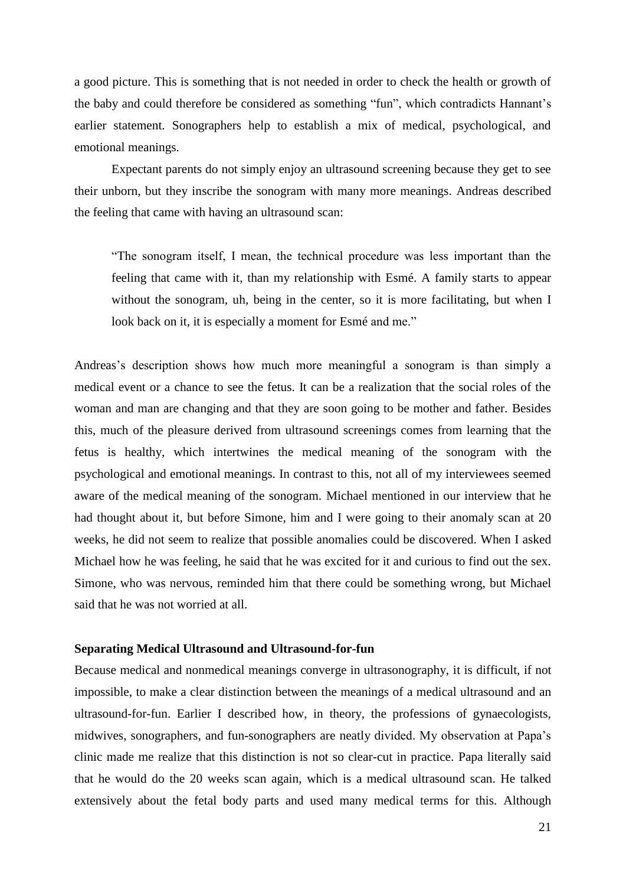a good picture. This is something that is not needed in order to check the health or growth of the baby and could therefore be considered as something "fun", which contradicts Hannant's earlier statement. Sonographers help to establish a mix of medical, psychological, and emotional meanings.

Expectant parents do not simply enjoy an ultrasound screening because they get to see their unborn, but they inscribe the sonogram with many more meanings. Andreas described the feeling that came with having an ultrasound scan:

"The sonogram itself, I mean, the technical procedure was less important than the feeling that came with it, than my relationship with Esmé. A family starts to appear without the sonogram, uh, being in the center, so it is more facilitating, but when I look back on it, it is especially a moment for Esmé and me."

Andreas's description shows how much more meaningful a sonogram is than simply a medical event or a chance to see the fetus. It can be a realization that the social roles of the woman and man are changing and that they are soon going to be mother and father. Besides this, much of the pleasure derived from ultrasound screenings comes from learning that the fetus is healthy, which intertwines the medical meaning of the sonogram with the psychological and emotional meanings. In contrast to this, not all of my interviewees seemed aware of the medical meaning of the sonogram. Michael mentioned in our interview that he had thought about it, but before Simone, him and I were going to their anomaly scan at 20 weeks, he did not seem to realize that possible anomalies could be discovered. When I asked Michael how he was feeling, he said that he was excited for it and curious to find out the sex. Simone, who was nervous, reminded him that there could be something wrong, but Michael said that he was not worried at all.

#### <span id="page-20-0"></span>**Separating Medical Ultrasound and Ultrasound-for-fun**

Because medical and nonmedical meanings converge in ultrasonography, it is difficult, if not impossible, to make a clear distinction between the meanings of a medical ultrasound and an ultrasound-for-fun. Earlier I described how, in theory, the professions of gynaecologists, midwives, sonographers, and fun-sonographers are neatly divided. My observation at Papa's clinic made me realize that this distinction is not so clear-cut in practice. Papa literally said that he would do the 20 weeks scan again, which is a medical ultrasound scan. He talked extensively about the fetal body parts and used many medical terms for this. Although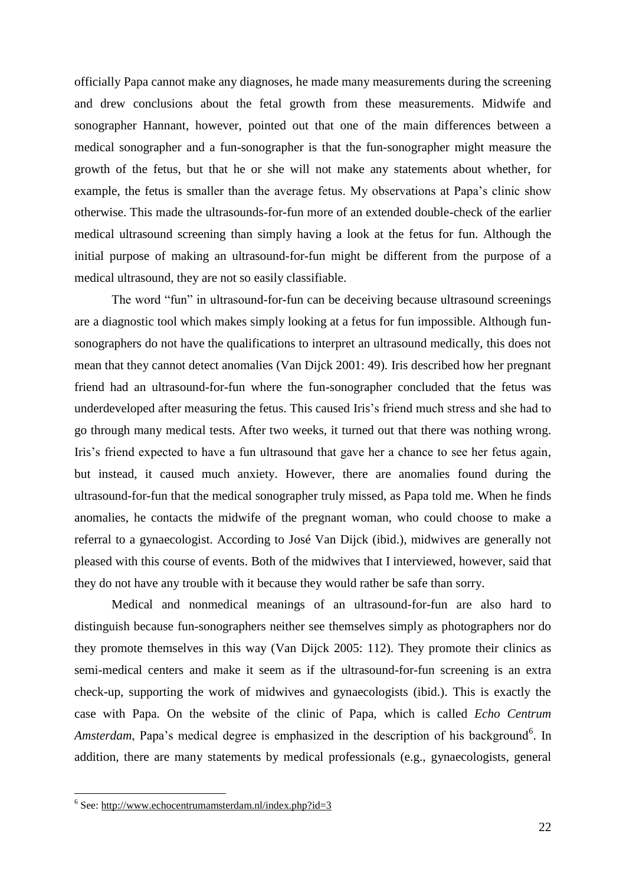officially Papa cannot make any diagnoses, he made many measurements during the screening and drew conclusions about the fetal growth from these measurements. Midwife and sonographer Hannant, however, pointed out that one of the main differences between a medical sonographer and a fun-sonographer is that the fun-sonographer might measure the growth of the fetus, but that he or she will not make any statements about whether, for example, the fetus is smaller than the average fetus. My observations at Papa's clinic show otherwise. This made the ultrasounds-for-fun more of an extended double-check of the earlier medical ultrasound screening than simply having a look at the fetus for fun. Although the initial purpose of making an ultrasound-for-fun might be different from the purpose of a medical ultrasound, they are not so easily classifiable.

The word "fun" in ultrasound-for-fun can be deceiving because ultrasound screenings are a diagnostic tool which makes simply looking at a fetus for fun impossible. Although funsonographers do not have the qualifications to interpret an ultrasound medically, this does not mean that they cannot detect anomalies (Van Dijck 2001: 49). Iris described how her pregnant friend had an ultrasound-for-fun where the fun-sonographer concluded that the fetus was underdeveloped after measuring the fetus. This caused Iris's friend much stress and she had to go through many medical tests. After two weeks, it turned out that there was nothing wrong. Iris's friend expected to have a fun ultrasound that gave her a chance to see her fetus again, but instead, it caused much anxiety. However, there are anomalies found during the ultrasound-for-fun that the medical sonographer truly missed, as Papa told me. When he finds anomalies, he contacts the midwife of the pregnant woman, who could choose to make a referral to a gynaecologist. According to José Van Dijck (ibid.), midwives are generally not pleased with this course of events. Both of the midwives that I interviewed, however, said that they do not have any trouble with it because they would rather be safe than sorry.

Medical and nonmedical meanings of an ultrasound-for-fun are also hard to distinguish because fun-sonographers neither see themselves simply as photographers nor do they promote themselves in this way (Van Dijck 2005: 112). They promote their clinics as semi-medical centers and make it seem as if the ultrasound-for-fun screening is an extra check-up, supporting the work of midwives and gynaecologists (ibid.). This is exactly the case with Papa. On the website of the clinic of Papa, which is called *Echo Centrum*  Amsterdam, Papa's medical degree is emphasized in the description of his background<sup>6</sup>. In addition, there are many statements by medical professionals (e.g., gynaecologists, general

1

<sup>&</sup>lt;sup>6</sup> See:<http://www.echocentrumamsterdam.nl/index.php?id=3>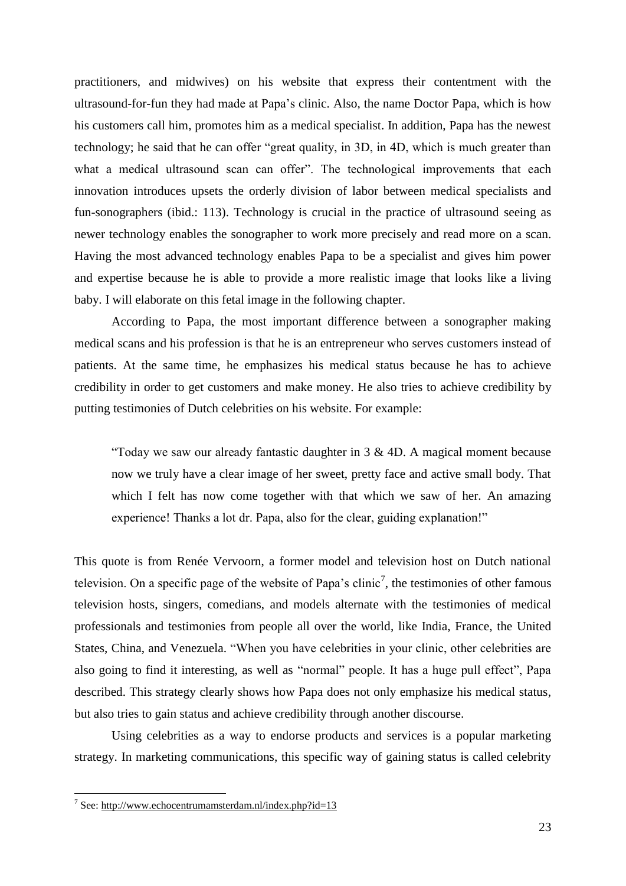practitioners, and midwives) on his website that express their contentment with the ultrasound-for-fun they had made at Papa's clinic. Also, the name Doctor Papa, which is how his customers call him, promotes him as a medical specialist. In addition, Papa has the newest technology; he said that he can offer "great quality, in 3D, in 4D, which is much greater than what a medical ultrasound scan can offer". The technological improvements that each innovation introduces upsets the orderly division of labor between medical specialists and fun-sonographers (ibid.: 113). Technology is crucial in the practice of ultrasound seeing as newer technology enables the sonographer to work more precisely and read more on a scan. Having the most advanced technology enables Papa to be a specialist and gives him power and expertise because he is able to provide a more realistic image that looks like a living baby. I will elaborate on this fetal image in the following chapter.

According to Papa, the most important difference between a sonographer making medical scans and his profession is that he is an entrepreneur who serves customers instead of patients. At the same time, he emphasizes his medical status because he has to achieve credibility in order to get customers and make money. He also tries to achieve credibility by putting testimonies of Dutch celebrities on his website. For example:

"Today we saw our already fantastic daughter in  $3 \& 4D$ . A magical moment because now we truly have a clear image of her sweet, pretty face and active small body. That which I felt has now come together with that which we saw of her. An amazing experience! Thanks a lot dr. Papa, also for the clear, guiding explanation!"

This quote is from Renée Vervoorn, a former model and television host on Dutch national television. On a specific page of the website of Papa's clinic<sup>7</sup>, the testimonies of other famous television hosts, singers, comedians, and models alternate with the testimonies of medical professionals and testimonies from people all over the world, like India, France, the United States, China, and Venezuela. "When you have celebrities in your clinic, other celebrities are also going to find it interesting, as well as "normal" people. It has a huge pull effect", Papa described. This strategy clearly shows how Papa does not only emphasize his medical status, but also tries to gain status and achieve credibility through another discourse.

Using celebrities as a way to endorse products and services is a popular marketing strategy. In marketing communications, this specific way of gaining status is called celebrity

1

<sup>&</sup>lt;sup>7</sup> See:<http://www.echocentrumamsterdam.nl/index.php?id=13>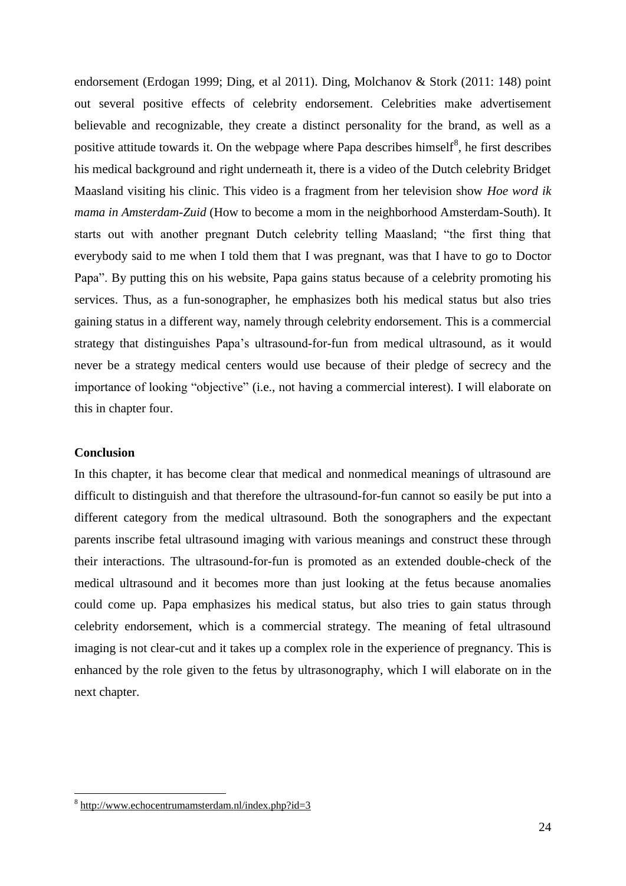endorsement (Erdogan 1999; Ding, et al 2011). Ding, Molchanov & Stork (2011: 148) point out several positive effects of celebrity endorsement. Celebrities make advertisement believable and recognizable, they create a distinct personality for the brand, as well as a positive attitude towards it. On the webpage where Papa describes himself<sup>8</sup>, he first describes his medical background and right underneath it, there is a video of the Dutch celebrity Bridget Maasland visiting his clinic. This video is a fragment from her television show *Hoe word ik mama in Amsterdam-Zuid* (How to become a mom in the neighborhood Amsterdam-South). It starts out with another pregnant Dutch celebrity telling Maasland; "the first thing that everybody said to me when I told them that I was pregnant, was that I have to go to Doctor Papa". By putting this on his website, Papa gains status because of a celebrity promoting his services. Thus, as a fun-sonographer, he emphasizes both his medical status but also tries gaining status in a different way, namely through celebrity endorsement. This is a commercial strategy that distinguishes Papa's ultrasound-for-fun from medical ultrasound, as it would never be a strategy medical centers would use because of their pledge of secrecy and the importance of looking "objective" (i.e., not having a commercial interest). I will elaborate on this in chapter four.

#### <span id="page-23-0"></span>**Conclusion**

1

In this chapter, it has become clear that medical and nonmedical meanings of ultrasound are difficult to distinguish and that therefore the ultrasound-for-fun cannot so easily be put into a different category from the medical ultrasound. Both the sonographers and the expectant parents inscribe fetal ultrasound imaging with various meanings and construct these through their interactions. The ultrasound-for-fun is promoted as an extended double-check of the medical ultrasound and it becomes more than just looking at the fetus because anomalies could come up. Papa emphasizes his medical status, but also tries to gain status through celebrity endorsement, which is a commercial strategy. The meaning of fetal ultrasound imaging is not clear-cut and it takes up a complex role in the experience of pregnancy. This is enhanced by the role given to the fetus by ultrasonography, which I will elaborate on in the next chapter.

<sup>&</sup>lt;sup>8</sup> <http://www.echocentrumamsterdam.nl/index.php?id=3>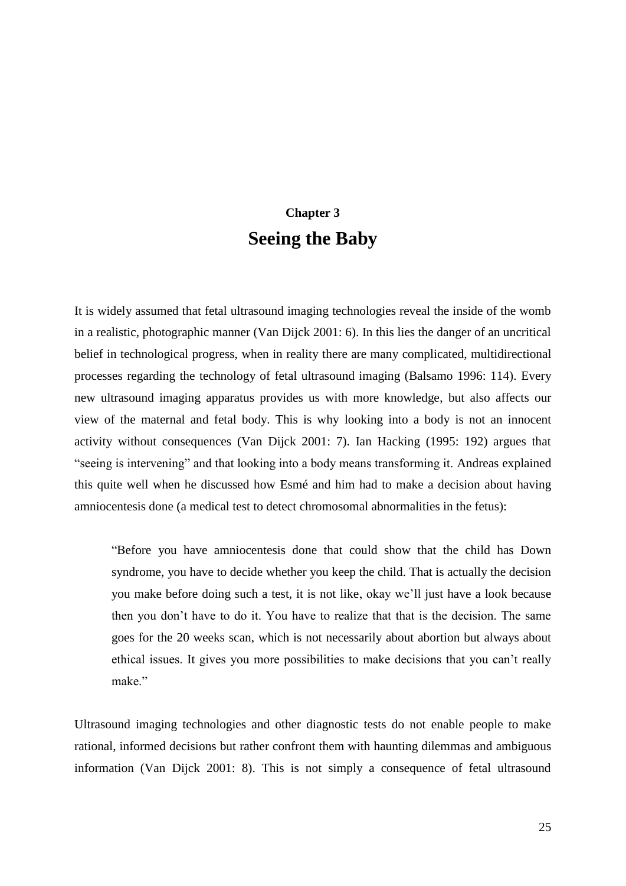## **Chapter 3 Seeing the Baby**

<span id="page-24-0"></span>It is widely assumed that fetal ultrasound imaging technologies reveal the inside of the womb in a realistic, photographic manner (Van Dijck 2001: 6). In this lies the danger of an uncritical belief in technological progress, when in reality there are many complicated, multidirectional processes regarding the technology of fetal ultrasound imaging (Balsamo 1996: 114). Every new ultrasound imaging apparatus provides us with more knowledge, but also affects our view of the maternal and fetal body. This is why looking into a body is not an innocent activity without consequences (Van Dijck 2001: 7). Ian Hacking (1995: 192) argues that "seeing is intervening" and that looking into a body means transforming it. Andreas explained this quite well when he discussed how Esmé and him had to make a decision about having amniocentesis done (a medical test to detect chromosomal abnormalities in the fetus):

"Before you have amniocentesis done that could show that the child has Down syndrome, you have to decide whether you keep the child. That is actually the decision you make before doing such a test, it is not like, okay we'll just have a look because then you don't have to do it. You have to realize that that is the decision. The same goes for the 20 weeks scan, which is not necessarily about abortion but always about ethical issues. It gives you more possibilities to make decisions that you can't really make"

Ultrasound imaging technologies and other diagnostic tests do not enable people to make rational, informed decisions but rather confront them with haunting dilemmas and ambiguous information (Van Dijck 2001: 8). This is not simply a consequence of fetal ultrasound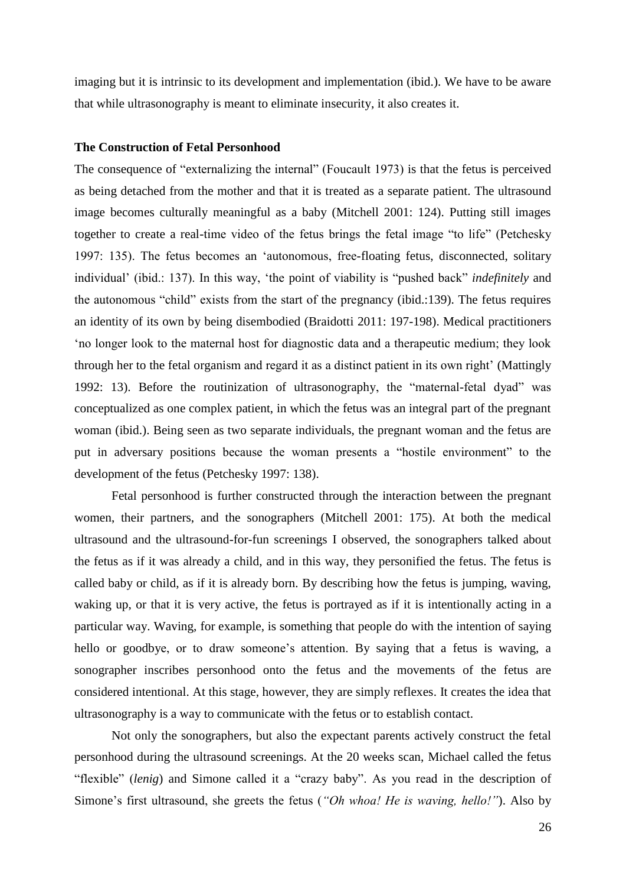imaging but it is intrinsic to its development and implementation (ibid.). We have to be aware that while ultrasonography is meant to eliminate insecurity, it also creates it.

#### <span id="page-25-0"></span>**The Construction of Fetal Personhood**

The consequence of "externalizing the internal" (Foucault 1973) is that the fetus is perceived as being detached from the mother and that it is treated as a separate patient. The ultrasound image becomes culturally meaningful as a baby (Mitchell 2001: 124). Putting still images together to create a real-time video of the fetus brings the fetal image "to life" (Petchesky 1997: 135). The fetus becomes an 'autonomous, free-floating fetus, disconnected, solitary individual' (ibid.: 137). In this way, 'the point of viability is "pushed back" *indefinitely* and the autonomous "child" exists from the start of the pregnancy (ibid.:139). The fetus requires an identity of its own by being disembodied (Braidotti 2011: 197-198). Medical practitioners 'no longer look to the maternal host for diagnostic data and a therapeutic medium; they look through her to the fetal organism and regard it as a distinct patient in its own right' (Mattingly 1992: 13). Before the routinization of ultrasonography, the "maternal-fetal dyad" was conceptualized as one complex patient, in which the fetus was an integral part of the pregnant woman (ibid.). Being seen as two separate individuals, the pregnant woman and the fetus are put in adversary positions because the woman presents a "hostile environment" to the development of the fetus (Petchesky 1997: 138).

Fetal personhood is further constructed through the interaction between the pregnant women, their partners, and the sonographers (Mitchell 2001: 175). At both the medical ultrasound and the ultrasound-for-fun screenings I observed, the sonographers talked about the fetus as if it was already a child, and in this way, they personified the fetus. The fetus is called baby or child, as if it is already born. By describing how the fetus is jumping, waving, waking up, or that it is very active, the fetus is portrayed as if it is intentionally acting in a particular way. Waving, for example, is something that people do with the intention of saying hello or goodbye, or to draw someone's attention. By saying that a fetus is waving, a sonographer inscribes personhood onto the fetus and the movements of the fetus are considered intentional. At this stage, however, they are simply reflexes. It creates the idea that ultrasonography is a way to communicate with the fetus or to establish contact.

Not only the sonographers, but also the expectant parents actively construct the fetal personhood during the ultrasound screenings. At the 20 weeks scan, Michael called the fetus "flexible" (*lenig*) and Simone called it a "crazy baby". As you read in the description of Simone's first ultrasound, she greets the fetus (*"Oh whoa! He is waving, hello!"*). Also by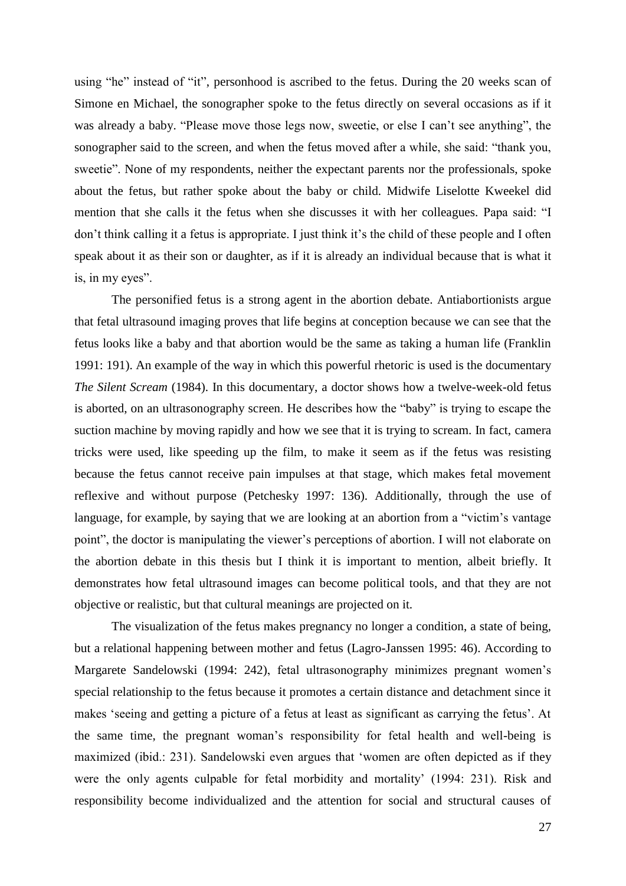using "he" instead of "it", personhood is ascribed to the fetus. During the 20 weeks scan of Simone en Michael, the sonographer spoke to the fetus directly on several occasions as if it was already a baby. "Please move those legs now, sweetie, or else I can't see anything", the sonographer said to the screen, and when the fetus moved after a while, she said: "thank you, sweetie". None of my respondents, neither the expectant parents nor the professionals, spoke about the fetus, but rather spoke about the baby or child. Midwife Liselotte Kweekel did mention that she calls it the fetus when she discusses it with her colleagues. Papa said: "I don't think calling it a fetus is appropriate. I just think it's the child of these people and I often speak about it as their son or daughter, as if it is already an individual because that is what it is, in my eyes".

The personified fetus is a strong agent in the abortion debate. Antiabortionists argue that fetal ultrasound imaging proves that life begins at conception because we can see that the fetus looks like a baby and that abortion would be the same as taking a human life (Franklin 1991: 191). An example of the way in which this powerful rhetoric is used is the documentary *The Silent Scream* (1984). In this documentary, a doctor shows how a twelve-week-old fetus is aborted, on an ultrasonography screen. He describes how the "baby" is trying to escape the suction machine by moving rapidly and how we see that it is trying to scream. In fact, camera tricks were used, like speeding up the film, to make it seem as if the fetus was resisting because the fetus cannot receive pain impulses at that stage, which makes fetal movement reflexive and without purpose (Petchesky 1997: 136). Additionally, through the use of language, for example, by saying that we are looking at an abortion from a "victim's vantage point", the doctor is manipulating the viewer's perceptions of abortion. I will not elaborate on the abortion debate in this thesis but I think it is important to mention, albeit briefly. It demonstrates how fetal ultrasound images can become political tools, and that they are not objective or realistic, but that cultural meanings are projected on it.

The visualization of the fetus makes pregnancy no longer a condition, a state of being, but a relational happening between mother and fetus (Lagro-Janssen 1995: 46). According to Margarete Sandelowski (1994: 242), fetal ultrasonography minimizes pregnant women's special relationship to the fetus because it promotes a certain distance and detachment since it makes 'seeing and getting a picture of a fetus at least as significant as carrying the fetus'. At the same time, the pregnant woman's responsibility for fetal health and well-being is maximized (ibid.: 231). Sandelowski even argues that 'women are often depicted as if they were the only agents culpable for fetal morbidity and mortality' (1994: 231). Risk and responsibility become individualized and the attention for social and structural causes of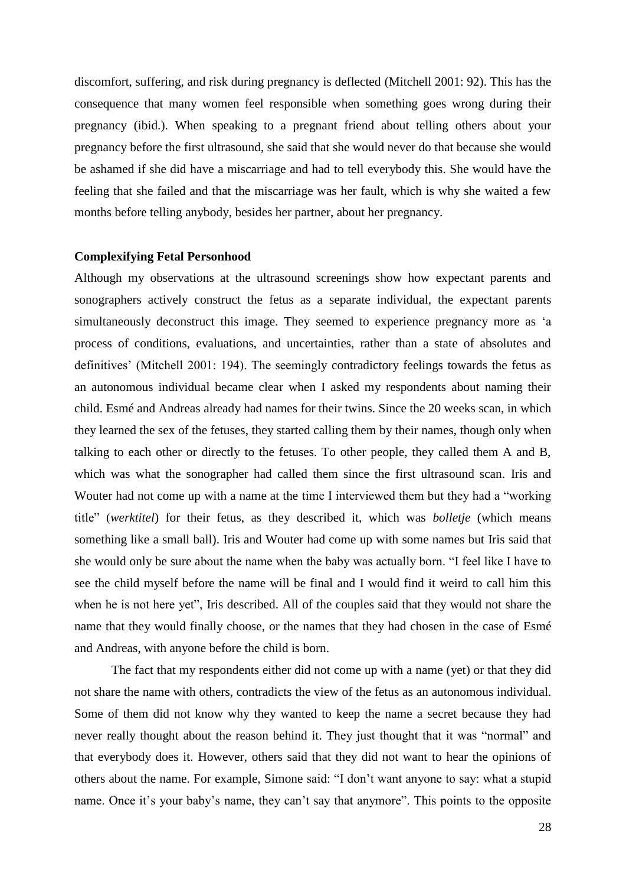discomfort, suffering, and risk during pregnancy is deflected (Mitchell 2001: 92). This has the consequence that many women feel responsible when something goes wrong during their pregnancy (ibid.). When speaking to a pregnant friend about telling others about your pregnancy before the first ultrasound, she said that she would never do that because she would be ashamed if she did have a miscarriage and had to tell everybody this. She would have the feeling that she failed and that the miscarriage was her fault, which is why she waited a few months before telling anybody, besides her partner, about her pregnancy.

#### <span id="page-27-0"></span>**Complexifying Fetal Personhood**

Although my observations at the ultrasound screenings show how expectant parents and sonographers actively construct the fetus as a separate individual, the expectant parents simultaneously deconstruct this image. They seemed to experience pregnancy more as 'a process of conditions, evaluations, and uncertainties, rather than a state of absolutes and definitives' (Mitchell 2001: 194). The seemingly contradictory feelings towards the fetus as an autonomous individual became clear when I asked my respondents about naming their child. Esmé and Andreas already had names for their twins. Since the 20 weeks scan, in which they learned the sex of the fetuses, they started calling them by their names, though only when talking to each other or directly to the fetuses. To other people, they called them A and B, which was what the sonographer had called them since the first ultrasound scan. Iris and Wouter had not come up with a name at the time I interviewed them but they had a "working title" (*werktitel*) for their fetus, as they described it, which was *bolletje* (which means something like a small ball). Iris and Wouter had come up with some names but Iris said that she would only be sure about the name when the baby was actually born. "I feel like I have to see the child myself before the name will be final and I would find it weird to call him this when he is not here yet", Iris described. All of the couples said that they would not share the name that they would finally choose, or the names that they had chosen in the case of Esmé and Andreas, with anyone before the child is born.

The fact that my respondents either did not come up with a name (yet) or that they did not share the name with others, contradicts the view of the fetus as an autonomous individual. Some of them did not know why they wanted to keep the name a secret because they had never really thought about the reason behind it. They just thought that it was "normal" and that everybody does it. However, others said that they did not want to hear the opinions of others about the name. For example, Simone said: "I don't want anyone to say: what a stupid name. Once it's your baby's name, they can't say that anymore". This points to the opposite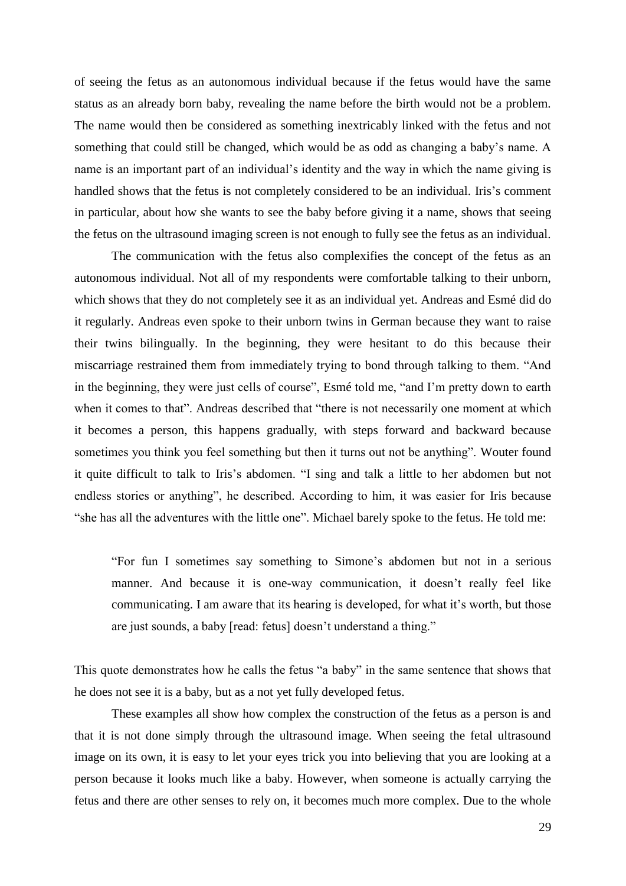of seeing the fetus as an autonomous individual because if the fetus would have the same status as an already born baby, revealing the name before the birth would not be a problem. The name would then be considered as something inextricably linked with the fetus and not something that could still be changed, which would be as odd as changing a baby's name. A name is an important part of an individual's identity and the way in which the name giving is handled shows that the fetus is not completely considered to be an individual. Iris's comment in particular, about how she wants to see the baby before giving it a name, shows that seeing the fetus on the ultrasound imaging screen is not enough to fully see the fetus as an individual.

The communication with the fetus also complexifies the concept of the fetus as an autonomous individual. Not all of my respondents were comfortable talking to their unborn, which shows that they do not completely see it as an individual yet. Andreas and Esmé did do it regularly. Andreas even spoke to their unborn twins in German because they want to raise their twins bilingually. In the beginning, they were hesitant to do this because their miscarriage restrained them from immediately trying to bond through talking to them. "And in the beginning, they were just cells of course", Esmé told me, "and I'm pretty down to earth when it comes to that". Andreas described that "there is not necessarily one moment at which it becomes a person, this happens gradually, with steps forward and backward because sometimes you think you feel something but then it turns out not be anything". Wouter found it quite difficult to talk to Iris's abdomen. "I sing and talk a little to her abdomen but not endless stories or anything", he described. According to him, it was easier for Iris because "she has all the adventures with the little one". Michael barely spoke to the fetus. He told me:

"For fun I sometimes say something to Simone's abdomen but not in a serious manner. And because it is one-way communication, it doesn't really feel like communicating. I am aware that its hearing is developed, for what it's worth, but those are just sounds, a baby [read: fetus] doesn't understand a thing."

This quote demonstrates how he calls the fetus "a baby" in the same sentence that shows that he does not see it is a baby, but as a not yet fully developed fetus.

These examples all show how complex the construction of the fetus as a person is and that it is not done simply through the ultrasound image. When seeing the fetal ultrasound image on its own, it is easy to let your eyes trick you into believing that you are looking at a person because it looks much like a baby. However, when someone is actually carrying the fetus and there are other senses to rely on, it becomes much more complex. Due to the whole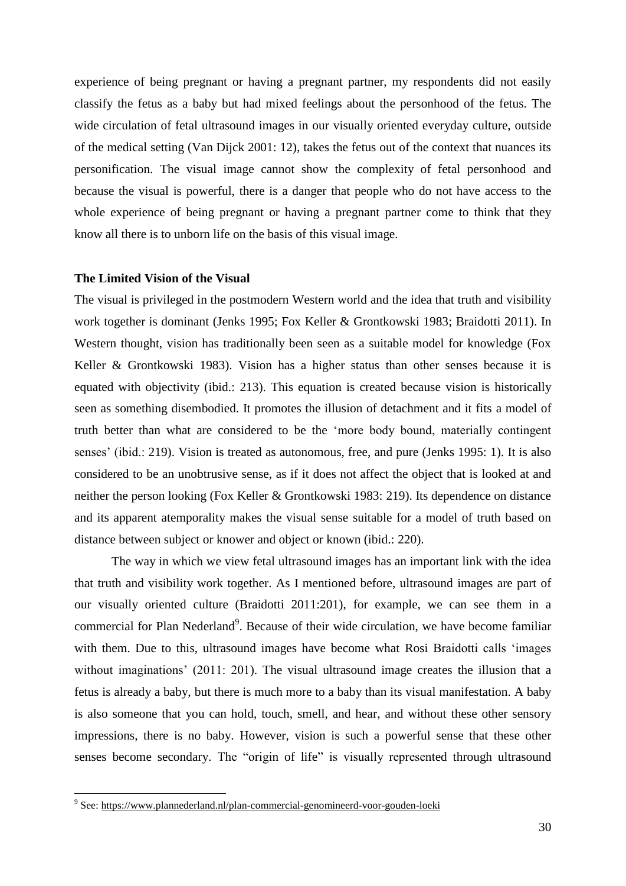experience of being pregnant or having a pregnant partner, my respondents did not easily classify the fetus as a baby but had mixed feelings about the personhood of the fetus. The wide circulation of fetal ultrasound images in our visually oriented everyday culture, outside of the medical setting (Van Dijck 2001: 12), takes the fetus out of the context that nuances its personification. The visual image cannot show the complexity of fetal personhood and because the visual is powerful, there is a danger that people who do not have access to the whole experience of being pregnant or having a pregnant partner come to think that they know all there is to unborn life on the basis of this visual image.

#### <span id="page-29-0"></span>**The Limited Vision of the Visual**

The visual is privileged in the postmodern Western world and the idea that truth and visibility work together is dominant (Jenks 1995; Fox Keller & Grontkowski 1983; Braidotti 2011). In Western thought, vision has traditionally been seen as a suitable model for knowledge (Fox Keller & Grontkowski 1983). Vision has a higher status than other senses because it is equated with objectivity (ibid.: 213). This equation is created because vision is historically seen as something disembodied. It promotes the illusion of detachment and it fits a model of truth better than what are considered to be the 'more body bound, materially contingent senses' (ibid.: 219). Vision is treated as autonomous, free, and pure (Jenks 1995: 1). It is also considered to be an unobtrusive sense, as if it does not affect the object that is looked at and neither the person looking (Fox Keller & Grontkowski 1983: 219). Its dependence on distance and its apparent atemporality makes the visual sense suitable for a model of truth based on distance between subject or knower and object or known (ibid.: 220).

The way in which we view fetal ultrasound images has an important link with the idea that truth and visibility work together. As I mentioned before, ultrasound images are part of our visually oriented culture (Braidotti 2011:201), for example, we can see them in a commercial for Plan Nederland<sup>9</sup>. Because of their wide circulation, we have become familiar with them. Due to this, ultrasound images have become what Rosi Braidotti calls 'images without imaginations' (2011: 201). The visual ultrasound image creates the illusion that a fetus is already a baby, but there is much more to a baby than its visual manifestation. A baby is also someone that you can hold, touch, smell, and hear, and without these other sensory impressions, there is no baby. However, vision is such a powerful sense that these other senses become secondary. The "origin of life" is visually represented through ultrasound

 9 See:<https://www.plannederland.nl/plan-commercial-genomineerd-voor-gouden-loeki>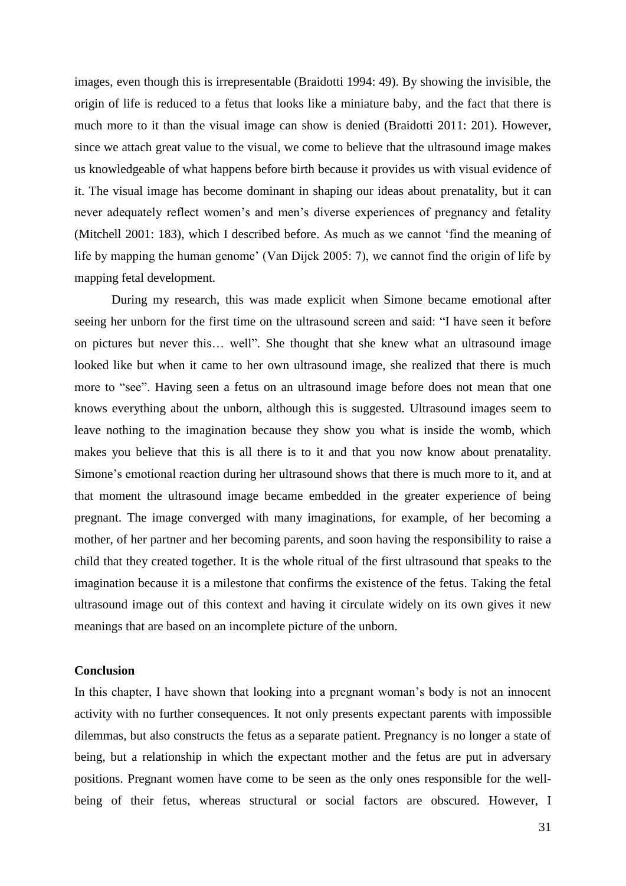images, even though this is irrepresentable (Braidotti 1994: 49). By showing the invisible, the origin of life is reduced to a fetus that looks like a miniature baby, and the fact that there is much more to it than the visual image can show is denied (Braidotti 2011: 201). However, since we attach great value to the visual, we come to believe that the ultrasound image makes us knowledgeable of what happens before birth because it provides us with visual evidence of it. The visual image has become dominant in shaping our ideas about prenatality, but it can never adequately reflect women's and men's diverse experiences of pregnancy and fetality (Mitchell 2001: 183), which I described before. As much as we cannot 'find the meaning of life by mapping the human genome' (Van Dijck 2005: 7), we cannot find the origin of life by mapping fetal development.

During my research, this was made explicit when Simone became emotional after seeing her unborn for the first time on the ultrasound screen and said: "I have seen it before on pictures but never this… well". She thought that she knew what an ultrasound image looked like but when it came to her own ultrasound image, she realized that there is much more to "see". Having seen a fetus on an ultrasound image before does not mean that one knows everything about the unborn, although this is suggested. Ultrasound images seem to leave nothing to the imagination because they show you what is inside the womb, which makes you believe that this is all there is to it and that you now know about prenatality. Simone's emotional reaction during her ultrasound shows that there is much more to it, and at that moment the ultrasound image became embedded in the greater experience of being pregnant. The image converged with many imaginations, for example, of her becoming a mother, of her partner and her becoming parents, and soon having the responsibility to raise a child that they created together. It is the whole ritual of the first ultrasound that speaks to the imagination because it is a milestone that confirms the existence of the fetus. Taking the fetal ultrasound image out of this context and having it circulate widely on its own gives it new meanings that are based on an incomplete picture of the unborn.

#### <span id="page-30-0"></span>**Conclusion**

In this chapter, I have shown that looking into a pregnant woman's body is not an innocent activity with no further consequences. It not only presents expectant parents with impossible dilemmas, but also constructs the fetus as a separate patient. Pregnancy is no longer a state of being, but a relationship in which the expectant mother and the fetus are put in adversary positions. Pregnant women have come to be seen as the only ones responsible for the wellbeing of their fetus, whereas structural or social factors are obscured. However, I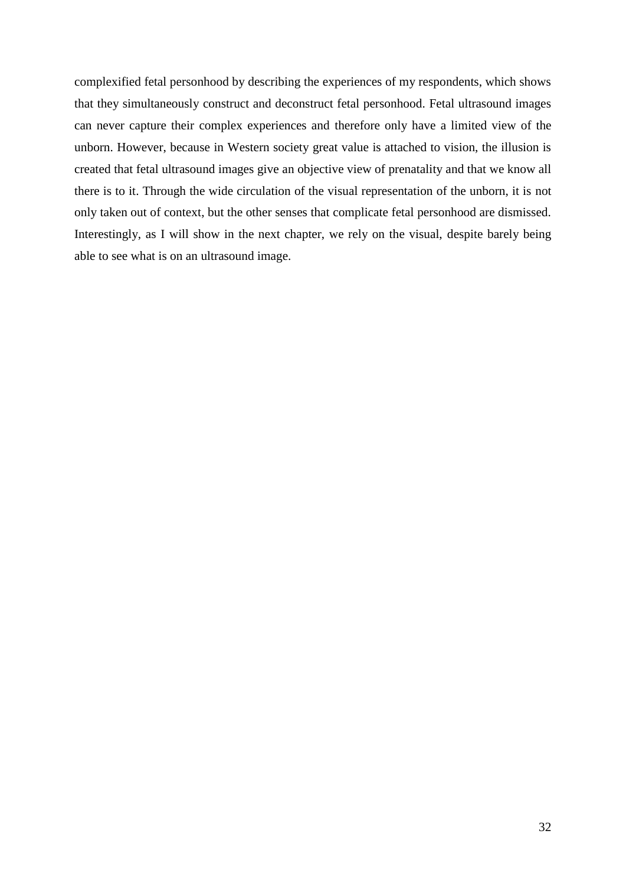complexified fetal personhood by describing the experiences of my respondents, which shows that they simultaneously construct and deconstruct fetal personhood. Fetal ultrasound images can never capture their complex experiences and therefore only have a limited view of the unborn. However, because in Western society great value is attached to vision, the illusion is created that fetal ultrasound images give an objective view of prenatality and that we know all there is to it. Through the wide circulation of the visual representation of the unborn, it is not only taken out of context, but the other senses that complicate fetal personhood are dismissed. Interestingly, as I will show in the next chapter, we rely on the visual, despite barely being able to see what is on an ultrasound image.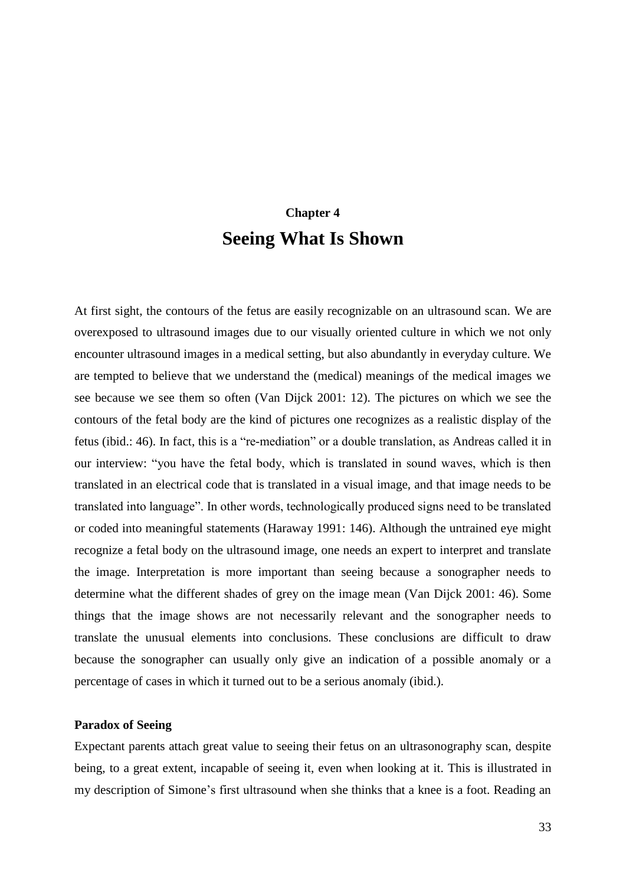## **Chapter 4 Seeing What Is Shown**

<span id="page-32-0"></span>At first sight, the contours of the fetus are easily recognizable on an ultrasound scan. We are overexposed to ultrasound images due to our visually oriented culture in which we not only encounter ultrasound images in a medical setting, but also abundantly in everyday culture. We are tempted to believe that we understand the (medical) meanings of the medical images we see because we see them so often (Van Dijck 2001: 12). The pictures on which we see the contours of the fetal body are the kind of pictures one recognizes as a realistic display of the fetus (ibid.: 46). In fact, this is a "re-mediation" or a double translation, as Andreas called it in our interview: "you have the fetal body, which is translated in sound waves, which is then translated in an electrical code that is translated in a visual image, and that image needs to be translated into language". In other words, technologically produced signs need to be translated or coded into meaningful statements (Haraway 1991: 146). Although the untrained eye might recognize a fetal body on the ultrasound image, one needs an expert to interpret and translate the image. Interpretation is more important than seeing because a sonographer needs to determine what the different shades of grey on the image mean (Van Dijck 2001: 46). Some things that the image shows are not necessarily relevant and the sonographer needs to translate the unusual elements into conclusions. These conclusions are difficult to draw because the sonographer can usually only give an indication of a possible anomaly or a percentage of cases in which it turned out to be a serious anomaly (ibid.).

#### <span id="page-32-1"></span>**Paradox of Seeing**

Expectant parents attach great value to seeing their fetus on an ultrasonography scan, despite being, to a great extent, incapable of seeing it, even when looking at it. This is illustrated in my description of Simone's first ultrasound when she thinks that a knee is a foot. Reading an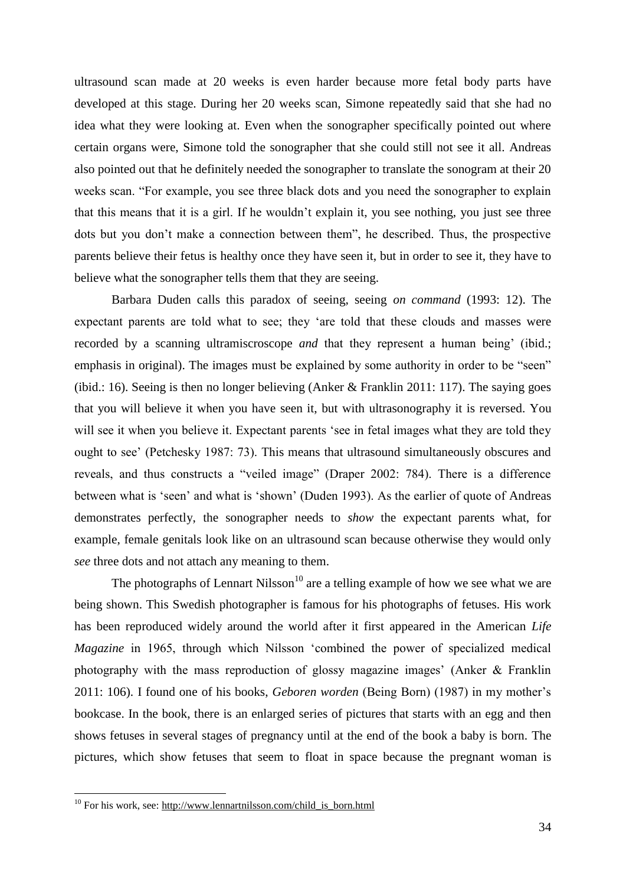ultrasound scan made at 20 weeks is even harder because more fetal body parts have developed at this stage. During her 20 weeks scan, Simone repeatedly said that she had no idea what they were looking at. Even when the sonographer specifically pointed out where certain organs were, Simone told the sonographer that she could still not see it all. Andreas also pointed out that he definitely needed the sonographer to translate the sonogram at their 20 weeks scan. "For example, you see three black dots and you need the sonographer to explain that this means that it is a girl. If he wouldn't explain it, you see nothing, you just see three dots but you don't make a connection between them", he described. Thus, the prospective parents believe their fetus is healthy once they have seen it, but in order to see it, they have to believe what the sonographer tells them that they are seeing.

Barbara Duden calls this paradox of seeing, seeing *on command* (1993: 12). The expectant parents are told what to see; they 'are told that these clouds and masses were recorded by a scanning ultramiscroscope *and* that they represent a human being' (ibid.; emphasis in original). The images must be explained by some authority in order to be "seen" (ibid.: 16). Seeing is then no longer believing (Anker & Franklin 2011: 117). The saying goes that you will believe it when you have seen it, but with ultrasonography it is reversed. You will see it when you believe it. Expectant parents 'see in fetal images what they are told they ought to see' (Petchesky 1987: 73). This means that ultrasound simultaneously obscures and reveals, and thus constructs a "veiled image" (Draper 2002: 784). There is a difference between what is 'seen' and what is 'shown' (Duden 1993). As the earlier of quote of Andreas demonstrates perfectly, the sonographer needs to *show* the expectant parents what, for example, female genitals look like on an ultrasound scan because otherwise they would only *see* three dots and not attach any meaning to them.

The photographs of Lennart Nilsson<sup>10</sup> are a telling example of how we see what we are being shown. This Swedish photographer is famous for his photographs of fetuses. His work has been reproduced widely around the world after it first appeared in the American *Life Magazine* in 1965, through which Nilsson 'combined the power of specialized medical photography with the mass reproduction of glossy magazine images' (Anker & Franklin 2011: 106). I found one of his books, *Geboren worden* (Being Born) (1987) in my mother's bookcase. In the book, there is an enlarged series of pictures that starts with an egg and then shows fetuses in several stages of pregnancy until at the end of the book a baby is born. The pictures, which show fetuses that seem to float in space because the pregnant woman is

1

<sup>&</sup>lt;sup>10</sup> For his work, see: http://www.lennartnilsson.com/child is born.html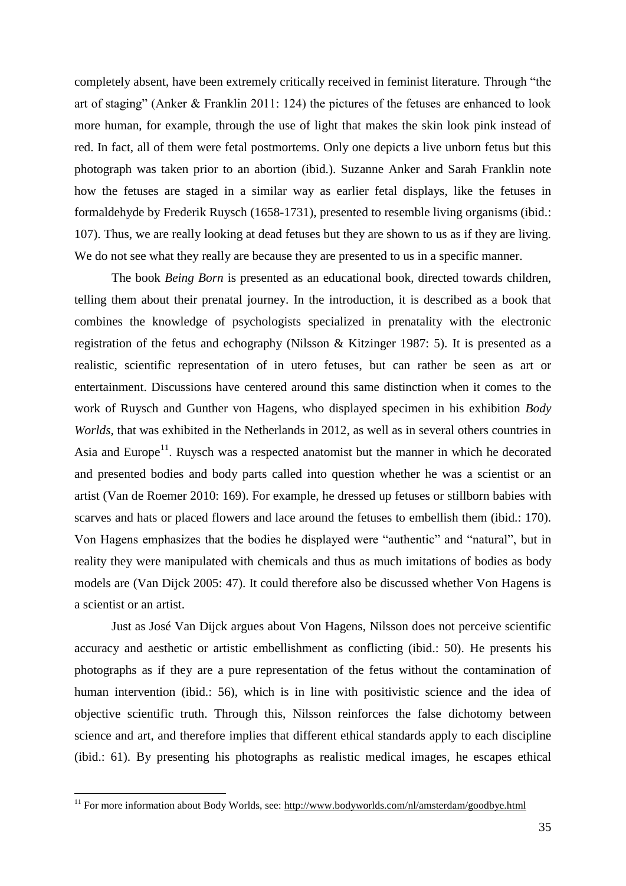completely absent, have been extremely critically received in feminist literature. Through "the art of staging" (Anker & Franklin 2011: 124) the pictures of the fetuses are enhanced to look more human, for example, through the use of light that makes the skin look pink instead of red. In fact, all of them were fetal postmortems. Only one depicts a live unborn fetus but this photograph was taken prior to an abortion (ibid.). Suzanne Anker and Sarah Franklin note how the fetuses are staged in a similar way as earlier fetal displays, like the fetuses in formaldehyde by Frederik Ruysch (1658-1731), presented to resemble living organisms (ibid.: 107). Thus, we are really looking at dead fetuses but they are shown to us as if they are living. We do not see what they really are because they are presented to us in a specific manner.

The book *Being Born* is presented as an educational book, directed towards children, telling them about their prenatal journey. In the introduction, it is described as a book that combines the knowledge of psychologists specialized in prenatality with the electronic registration of the fetus and echography (Nilsson & Kitzinger 1987: 5). It is presented as a realistic, scientific representation of in utero fetuses, but can rather be seen as art or entertainment. Discussions have centered around this same distinction when it comes to the work of Ruysch and Gunther von Hagens, who displayed specimen in his exhibition *Body Worlds*, that was exhibited in the Netherlands in 2012, as well as in several others countries in Asia and Europe<sup>11</sup>. Ruysch was a respected anatomist but the manner in which he decorated and presented bodies and body parts called into question whether he was a scientist or an artist (Van de Roemer 2010: 169). For example, he dressed up fetuses or stillborn babies with scarves and hats or placed flowers and lace around the fetuses to embellish them (ibid.: 170). Von Hagens emphasizes that the bodies he displayed were "authentic" and "natural", but in reality they were manipulated with chemicals and thus as much imitations of bodies as body models are (Van Dijck 2005: 47). It could therefore also be discussed whether Von Hagens is a scientist or an artist.

Just as José Van Dijck argues about Von Hagens, Nilsson does not perceive scientific accuracy and aesthetic or artistic embellishment as conflicting (ibid.: 50). He presents his photographs as if they are a pure representation of the fetus without the contamination of human intervention (ibid.: 56), which is in line with positivistic science and the idea of objective scientific truth. Through this, Nilsson reinforces the false dichotomy between science and art, and therefore implies that different ethical standards apply to each discipline (ibid.: 61). By presenting his photographs as realistic medical images, he escapes ethical

1

<sup>&</sup>lt;sup>11</sup> For more information about Body Worlds, see:<http://www.bodyworlds.com/nl/amsterdam/goodbye.html>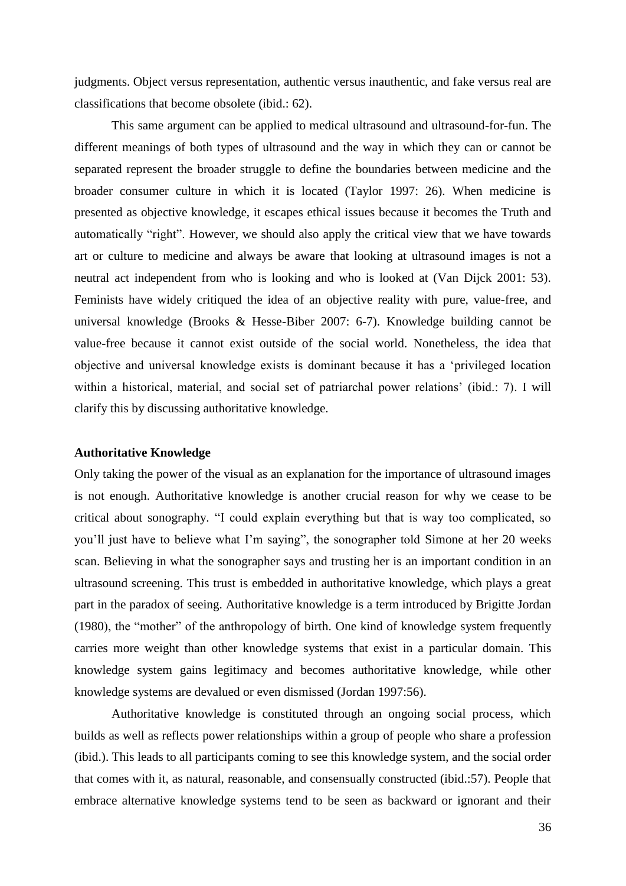judgments. Object versus representation, authentic versus inauthentic, and fake versus real are classifications that become obsolete (ibid.: 62).

This same argument can be applied to medical ultrasound and ultrasound-for-fun. The different meanings of both types of ultrasound and the way in which they can or cannot be separated represent the broader struggle to define the boundaries between medicine and the broader consumer culture in which it is located (Taylor 1997: 26). When medicine is presented as objective knowledge, it escapes ethical issues because it becomes the Truth and automatically "right". However, we should also apply the critical view that we have towards art or culture to medicine and always be aware that looking at ultrasound images is not a neutral act independent from who is looking and who is looked at (Van Dijck 2001: 53). Feminists have widely critiqued the idea of an objective reality with pure, value-free, and universal knowledge (Brooks & Hesse-Biber 2007: 6-7). Knowledge building cannot be value-free because it cannot exist outside of the social world. Nonetheless, the idea that objective and universal knowledge exists is dominant because it has a 'privileged location within a historical, material, and social set of patriarchal power relations' (ibid.: 7). I will clarify this by discussing authoritative knowledge.

#### <span id="page-35-0"></span>**Authoritative Knowledge**

Only taking the power of the visual as an explanation for the importance of ultrasound images is not enough. Authoritative knowledge is another crucial reason for why we cease to be critical about sonography. "I could explain everything but that is way too complicated, so you'll just have to believe what I'm saying", the sonographer told Simone at her 20 weeks scan. Believing in what the sonographer says and trusting her is an important condition in an ultrasound screening. This trust is embedded in authoritative knowledge, which plays a great part in the paradox of seeing. Authoritative knowledge is a term introduced by Brigitte Jordan (1980), the "mother" of the anthropology of birth. One kind of knowledge system frequently carries more weight than other knowledge systems that exist in a particular domain. This knowledge system gains legitimacy and becomes authoritative knowledge, while other knowledge systems are devalued or even dismissed (Jordan 1997:56).

Authoritative knowledge is constituted through an ongoing social process, which builds as well as reflects power relationships within a group of people who share a profession (ibid.). This leads to all participants coming to see this knowledge system, and the social order that comes with it, as natural, reasonable, and consensually constructed (ibid.:57). People that embrace alternative knowledge systems tend to be seen as backward or ignorant and their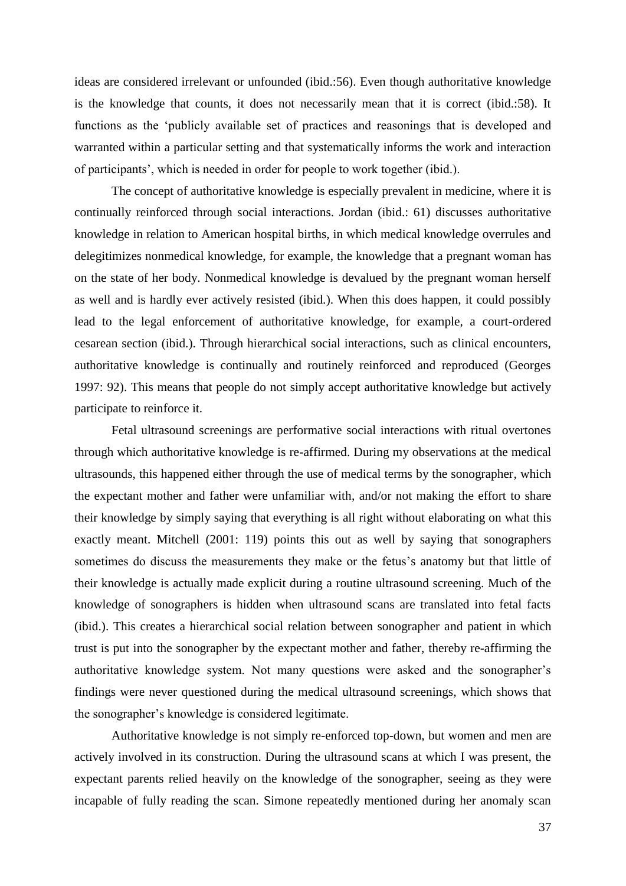ideas are considered irrelevant or unfounded (ibid.:56). Even though authoritative knowledge is the knowledge that counts, it does not necessarily mean that it is correct (ibid.:58). It functions as the 'publicly available set of practices and reasonings that is developed and warranted within a particular setting and that systematically informs the work and interaction of participants', which is needed in order for people to work together (ibid.).

The concept of authoritative knowledge is especially prevalent in medicine, where it is continually reinforced through social interactions. Jordan (ibid.: 61) discusses authoritative knowledge in relation to American hospital births, in which medical knowledge overrules and delegitimizes nonmedical knowledge, for example, the knowledge that a pregnant woman has on the state of her body. Nonmedical knowledge is devalued by the pregnant woman herself as well and is hardly ever actively resisted (ibid.). When this does happen, it could possibly lead to the legal enforcement of authoritative knowledge, for example, a court-ordered cesarean section (ibid.). Through hierarchical social interactions, such as clinical encounters, authoritative knowledge is continually and routinely reinforced and reproduced (Georges 1997: 92). This means that people do not simply accept authoritative knowledge but actively participate to reinforce it.

Fetal ultrasound screenings are performative social interactions with ritual overtones through which authoritative knowledge is re-affirmed. During my observations at the medical ultrasounds, this happened either through the use of medical terms by the sonographer, which the expectant mother and father were unfamiliar with, and/or not making the effort to share their knowledge by simply saying that everything is all right without elaborating on what this exactly meant. Mitchell (2001: 119) points this out as well by saying that sonographers sometimes do discuss the measurements they make or the fetus's anatomy but that little of their knowledge is actually made explicit during a routine ultrasound screening. Much of the knowledge of sonographers is hidden when ultrasound scans are translated into fetal facts (ibid.). This creates a hierarchical social relation between sonographer and patient in which trust is put into the sonographer by the expectant mother and father, thereby re-affirming the authoritative knowledge system. Not many questions were asked and the sonographer's findings were never questioned during the medical ultrasound screenings, which shows that the sonographer's knowledge is considered legitimate.

Authoritative knowledge is not simply re-enforced top-down, but women and men are actively involved in its construction. During the ultrasound scans at which I was present, the expectant parents relied heavily on the knowledge of the sonographer, seeing as they were incapable of fully reading the scan. Simone repeatedly mentioned during her anomaly scan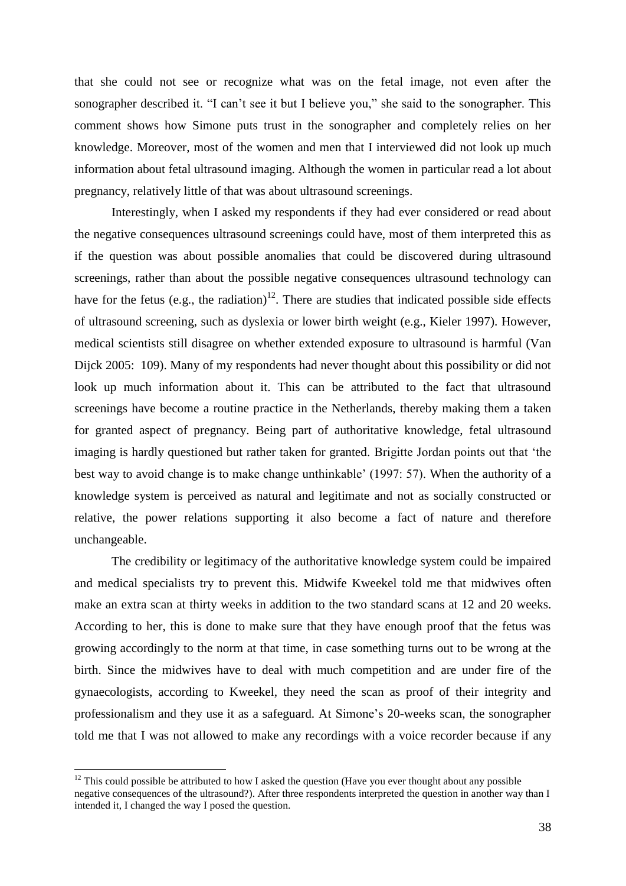that she could not see or recognize what was on the fetal image, not even after the sonographer described it. "I can't see it but I believe you," she said to the sonographer. This comment shows how Simone puts trust in the sonographer and completely relies on her knowledge. Moreover, most of the women and men that I interviewed did not look up much information about fetal ultrasound imaging. Although the women in particular read a lot about pregnancy, relatively little of that was about ultrasound screenings.

Interestingly, when I asked my respondents if they had ever considered or read about the negative consequences ultrasound screenings could have, most of them interpreted this as if the question was about possible anomalies that could be discovered during ultrasound screenings, rather than about the possible negative consequences ultrasound technology can have for the fetus (e.g., the radiation)<sup>12</sup>. There are studies that indicated possible side effects of ultrasound screening, such as dyslexia or lower birth weight (e.g., Kieler 1997). However, medical scientists still disagree on whether extended exposure to ultrasound is harmful (Van Dijck 2005: 109). Many of my respondents had never thought about this possibility or did not look up much information about it. This can be attributed to the fact that ultrasound screenings have become a routine practice in the Netherlands, thereby making them a taken for granted aspect of pregnancy. Being part of authoritative knowledge, fetal ultrasound imaging is hardly questioned but rather taken for granted. Brigitte Jordan points out that 'the best way to avoid change is to make change unthinkable' (1997: 57). When the authority of a knowledge system is perceived as natural and legitimate and not as socially constructed or relative, the power relations supporting it also become a fact of nature and therefore unchangeable.

The credibility or legitimacy of the authoritative knowledge system could be impaired and medical specialists try to prevent this. Midwife Kweekel told me that midwives often make an extra scan at thirty weeks in addition to the two standard scans at 12 and 20 weeks. According to her, this is done to make sure that they have enough proof that the fetus was growing accordingly to the norm at that time, in case something turns out to be wrong at the birth. Since the midwives have to deal with much competition and are under fire of the gynaecologists, according to Kweekel, they need the scan as proof of their integrity and professionalism and they use it as a safeguard. At Simone's 20-weeks scan, the sonographer told me that I was not allowed to make any recordings with a voice recorder because if any

1

 $12$  This could possible be attributed to how I asked the question (Have you ever thought about any possible negative consequences of the ultrasound?). After three respondents interpreted the question in another way than I intended it, I changed the way I posed the question.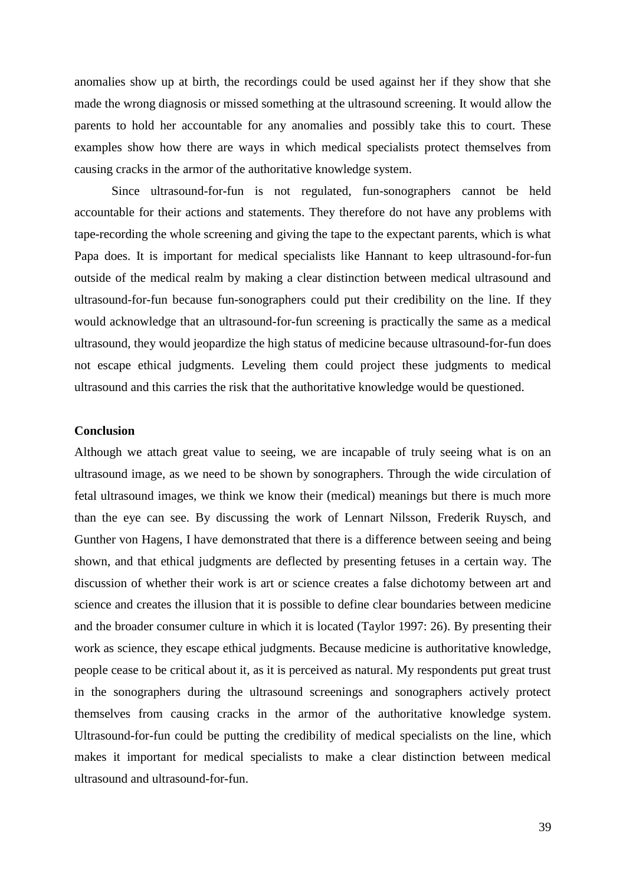anomalies show up at birth, the recordings could be used against her if they show that she made the wrong diagnosis or missed something at the ultrasound screening. It would allow the parents to hold her accountable for any anomalies and possibly take this to court. These examples show how there are ways in which medical specialists protect themselves from causing cracks in the armor of the authoritative knowledge system.

Since ultrasound-for-fun is not regulated, fun-sonographers cannot be held accountable for their actions and statements. They therefore do not have any problems with tape-recording the whole screening and giving the tape to the expectant parents, which is what Papa does. It is important for medical specialists like Hannant to keep ultrasound-for-fun outside of the medical realm by making a clear distinction between medical ultrasound and ultrasound-for-fun because fun-sonographers could put their credibility on the line. If they would acknowledge that an ultrasound-for-fun screening is practically the same as a medical ultrasound, they would jeopardize the high status of medicine because ultrasound-for-fun does not escape ethical judgments. Leveling them could project these judgments to medical ultrasound and this carries the risk that the authoritative knowledge would be questioned.

#### <span id="page-38-0"></span>**Conclusion**

Although we attach great value to seeing, we are incapable of truly seeing what is on an ultrasound image, as we need to be shown by sonographers. Through the wide circulation of fetal ultrasound images, we think we know their (medical) meanings but there is much more than the eye can see. By discussing the work of Lennart Nilsson, Frederik Ruysch, and Gunther von Hagens, I have demonstrated that there is a difference between seeing and being shown, and that ethical judgments are deflected by presenting fetuses in a certain way. The discussion of whether their work is art or science creates a false dichotomy between art and science and creates the illusion that it is possible to define clear boundaries between medicine and the broader consumer culture in which it is located (Taylor 1997: 26). By presenting their work as science, they escape ethical judgments. Because medicine is authoritative knowledge, people cease to be critical about it, as it is perceived as natural. My respondents put great trust in the sonographers during the ultrasound screenings and sonographers actively protect themselves from causing cracks in the armor of the authoritative knowledge system. Ultrasound-for-fun could be putting the credibility of medical specialists on the line, which makes it important for medical specialists to make a clear distinction between medical ultrasound and ultrasound-for-fun.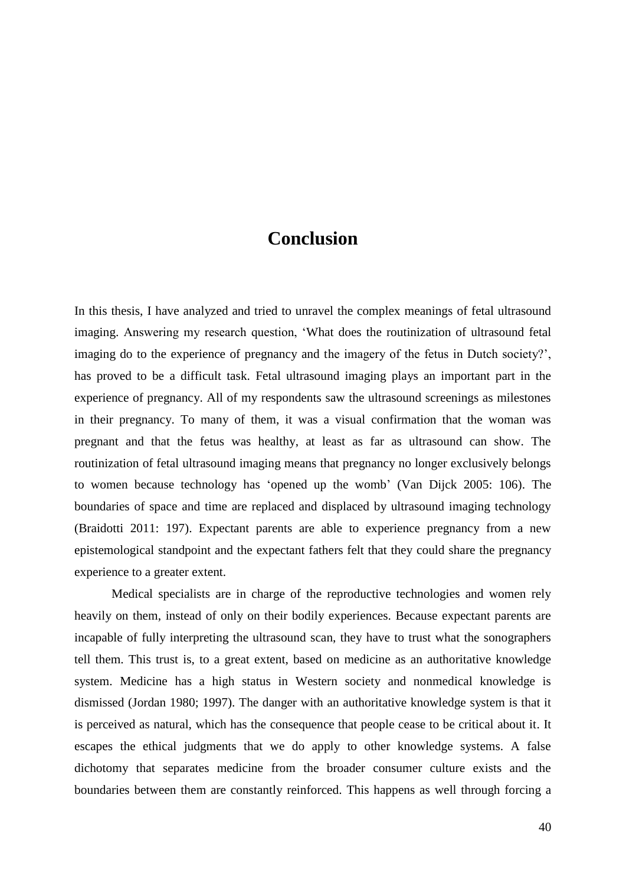### **Conclusion**

<span id="page-39-0"></span>In this thesis, I have analyzed and tried to unravel the complex meanings of fetal ultrasound imaging. Answering my research question, 'What does the routinization of ultrasound fetal imaging do to the experience of pregnancy and the imagery of the fetus in Dutch society?', has proved to be a difficult task. Fetal ultrasound imaging plays an important part in the experience of pregnancy. All of my respondents saw the ultrasound screenings as milestones in their pregnancy. To many of them, it was a visual confirmation that the woman was pregnant and that the fetus was healthy, at least as far as ultrasound can show. The routinization of fetal ultrasound imaging means that pregnancy no longer exclusively belongs to women because technology has 'opened up the womb' (Van Dijck 2005: 106). The boundaries of space and time are replaced and displaced by ultrasound imaging technology (Braidotti 2011: 197). Expectant parents are able to experience pregnancy from a new epistemological standpoint and the expectant fathers felt that they could share the pregnancy experience to a greater extent.

Medical specialists are in charge of the reproductive technologies and women rely heavily on them, instead of only on their bodily experiences. Because expectant parents are incapable of fully interpreting the ultrasound scan, they have to trust what the sonographers tell them. This trust is, to a great extent, based on medicine as an authoritative knowledge system. Medicine has a high status in Western society and nonmedical knowledge is dismissed (Jordan 1980; 1997). The danger with an authoritative knowledge system is that it is perceived as natural, which has the consequence that people cease to be critical about it. It escapes the ethical judgments that we do apply to other knowledge systems. A false dichotomy that separates medicine from the broader consumer culture exists and the boundaries between them are constantly reinforced. This happens as well through forcing a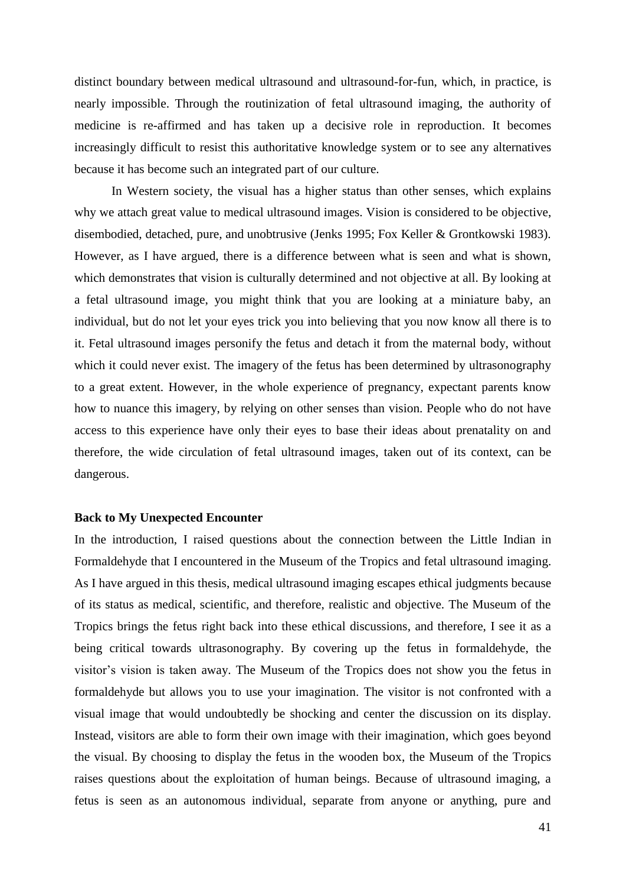distinct boundary between medical ultrasound and ultrasound-for-fun, which, in practice, is nearly impossible. Through the routinization of fetal ultrasound imaging, the authority of medicine is re-affirmed and has taken up a decisive role in reproduction. It becomes increasingly difficult to resist this authoritative knowledge system or to see any alternatives because it has become such an integrated part of our culture.

In Western society, the visual has a higher status than other senses, which explains why we attach great value to medical ultrasound images. Vision is considered to be objective, disembodied, detached, pure, and unobtrusive (Jenks 1995; Fox Keller & Grontkowski 1983). However, as I have argued, there is a difference between what is seen and what is shown, which demonstrates that vision is culturally determined and not objective at all. By looking at a fetal ultrasound image, you might think that you are looking at a miniature baby, an individual, but do not let your eyes trick you into believing that you now know all there is to it. Fetal ultrasound images personify the fetus and detach it from the maternal body, without which it could never exist. The imagery of the fetus has been determined by ultrasonography to a great extent. However, in the whole experience of pregnancy, expectant parents know how to nuance this imagery, by relying on other senses than vision. People who do not have access to this experience have only their eyes to base their ideas about prenatality on and therefore, the wide circulation of fetal ultrasound images, taken out of its context, can be dangerous.

#### <span id="page-40-0"></span>**Back to My Unexpected Encounter**

In the introduction, I raised questions about the connection between the Little Indian in Formaldehyde that I encountered in the Museum of the Tropics and fetal ultrasound imaging. As I have argued in this thesis, medical ultrasound imaging escapes ethical judgments because of its status as medical, scientific, and therefore, realistic and objective. The Museum of the Tropics brings the fetus right back into these ethical discussions, and therefore, I see it as a being critical towards ultrasonography. By covering up the fetus in formaldehyde, the visitor's vision is taken away. The Museum of the Tropics does not show you the fetus in formaldehyde but allows you to use your imagination. The visitor is not confronted with a visual image that would undoubtedly be shocking and center the discussion on its display. Instead, visitors are able to form their own image with their imagination, which goes beyond the visual. By choosing to display the fetus in the wooden box, the Museum of the Tropics raises questions about the exploitation of human beings. Because of ultrasound imaging, a fetus is seen as an autonomous individual, separate from anyone or anything, pure and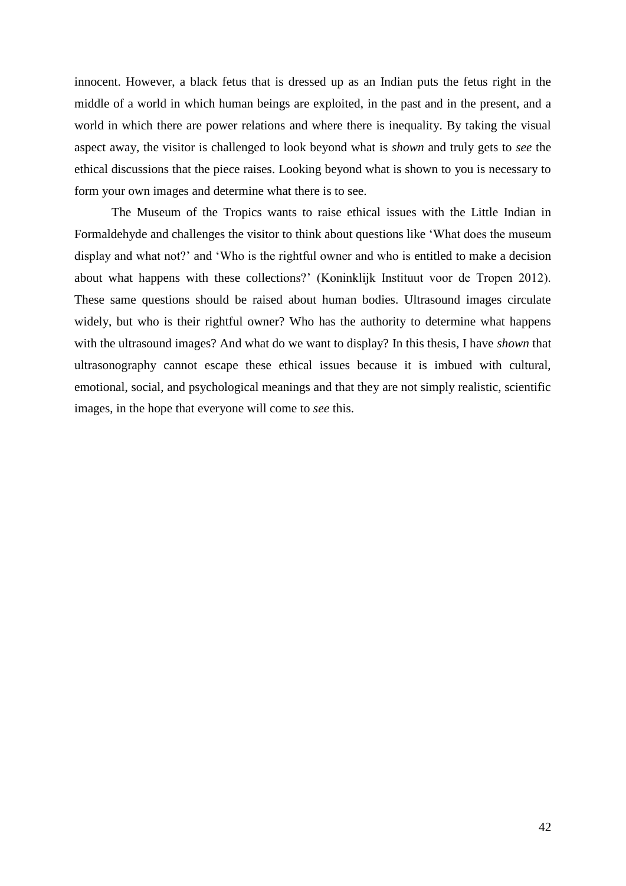innocent. However, a black fetus that is dressed up as an Indian puts the fetus right in the middle of a world in which human beings are exploited, in the past and in the present, and a world in which there are power relations and where there is inequality. By taking the visual aspect away, the visitor is challenged to look beyond what is *shown* and truly gets to *see* the ethical discussions that the piece raises. Looking beyond what is shown to you is necessary to form your own images and determine what there is to see.

The Museum of the Tropics wants to raise ethical issues with the Little Indian in Formaldehyde and challenges the visitor to think about questions like 'What does the museum display and what not?' and 'Who is the rightful owner and who is entitled to make a decision about what happens with these collections?' (Koninklijk Instituut voor de Tropen 2012). These same questions should be raised about human bodies. Ultrasound images circulate widely, but who is their rightful owner? Who has the authority to determine what happens with the ultrasound images? And what do we want to display? In this thesis, I have *shown* that ultrasonography cannot escape these ethical issues because it is imbued with cultural, emotional, social, and psychological meanings and that they are not simply realistic, scientific images, in the hope that everyone will come to *see* this.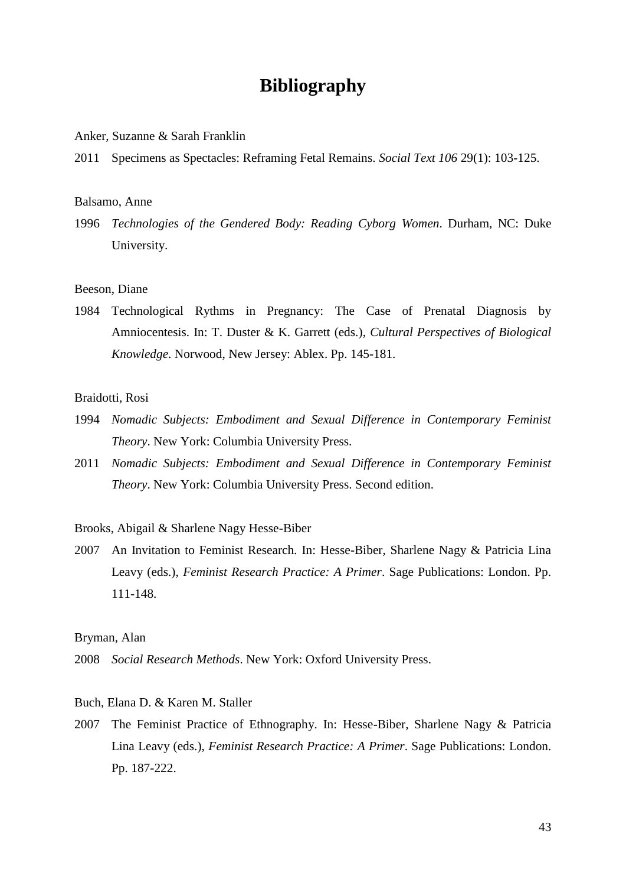### **Bibliography**

<span id="page-42-0"></span>Anker, Suzanne & Sarah Franklin

2011 Specimens as Spectacles: Reframing Fetal Remains. *Social Text 106* 29(1): 103-125.

#### Balsamo, Anne

1996 *Technologies of the Gendered Body: Reading Cyborg Women*. Durham, NC: Duke University.

#### Beeson, Diane

1984 Technological Rythms in Pregnancy: The Case of Prenatal Diagnosis by Amniocentesis. In: T. Duster & K. Garrett (eds.), *Cultural Perspectives of Biological Knowledge*. Norwood, New Jersey: Ablex. Pp. 145-181.

#### Braidotti, Rosi

- 1994 *Nomadic Subjects: Embodiment and Sexual Difference in Contemporary Feminist Theory*. New York: Columbia University Press.
- 2011 *Nomadic Subjects: Embodiment and Sexual Difference in Contemporary Feminist Theory*. New York: Columbia University Press. Second edition.

#### Brooks, Abigail & Sharlene Nagy Hesse-Biber

2007 An Invitation to Feminist Research. In: Hesse-Biber, Sharlene Nagy & Patricia Lina Leavy (eds.), *Feminist Research Practice: A Primer*. Sage Publications: London. Pp. 111-148.

#### Bryman, Alan

2008 *Social Research Methods*. New York: Oxford University Press.

#### Buch, Elana D. & Karen M. Staller

2007 The Feminist Practice of Ethnography. In: Hesse-Biber, Sharlene Nagy & Patricia Lina Leavy (eds.), *Feminist Research Practice: A Primer*. Sage Publications: London. Pp. 187-222.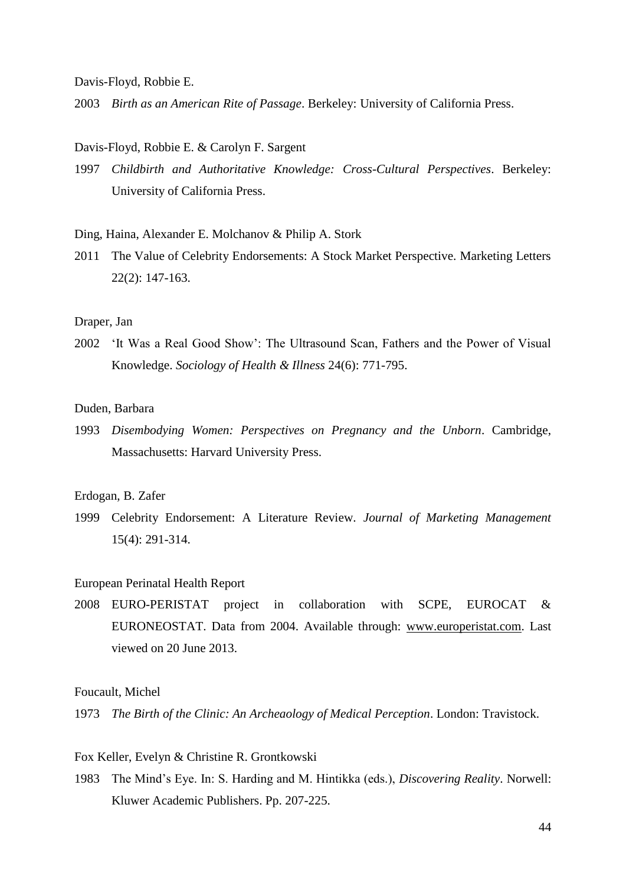Davis-Floyd, Robbie E.

2003 *Birth as an American Rite of Passage*. Berkeley: University of California Press.

#### Davis-Floyd, Robbie E. & Carolyn F. Sargent

1997 *Childbirth and Authoritative Knowledge: Cross-Cultural Perspectives*. Berkeley: University of California Press.

#### Ding, Haina, Alexander E. Molchanov & Philip A. Stork

2011 The Value of Celebrity Endorsements: A Stock Market Perspective. Marketing Letters 22(2): 147-163.

#### Draper, Jan

2002 'It Was a Real Good Show': The Ultrasound Scan, Fathers and the Power of Visual Knowledge. *Sociology of Health & Illness* 24(6): 771-795.

#### Duden, Barbara

1993 *Disembodying Women: Perspectives on Pregnancy and the Unborn*. Cambridge, Massachusetts: Harvard University Press.

#### Erdogan, B. Zafer

1999 Celebrity Endorsement: A Literature Review. *Journal of Marketing Management* 15(4): 291-314.

#### European Perinatal Health Report

2008 EURO-PERISTAT project in collaboration with SCPE, EUROCAT & EURONEOSTAT. Data from 2004. Available through: [www.europeristat.com.](http://www.europeristat.com/) Last viewed on 20 June 2013.

#### Foucault, Michel

1973 *The Birth of the Clinic: An Archeaology of Medical Perception*. London: Travistock.

#### Fox Keller, Evelyn & Christine R. Grontkowski

1983 The Mind's Eye. In: S. Harding and M. Hintikka (eds.), *Discovering Reality*. Norwell: Kluwer Academic Publishers. Pp. 207-225.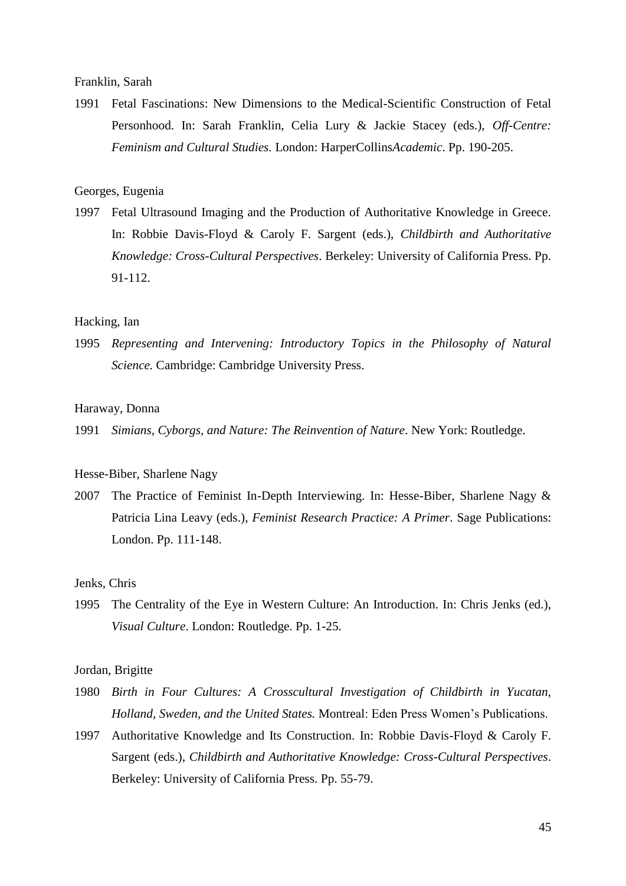Franklin, Sarah

1991 Fetal Fascinations: New Dimensions to the Medical-Scientific Construction of Fetal Personhood. In: Sarah Franklin, Celia Lury & Jackie Stacey (eds.), *Off-Centre: Feminism and Cultural Studies.* London: HarperCollins*Academic*. Pp. 190-205.

#### Georges, Eugenia

1997 Fetal Ultrasound Imaging and the Production of Authoritative Knowledge in Greece. In: Robbie Davis-Floyd & Caroly F. Sargent (eds.), *Childbirth and Authoritative Knowledge: Cross-Cultural Perspectives*. Berkeley: University of California Press. Pp. 91-112.

#### Hacking, Ian

1995 *Representing and Intervening: Introductory Topics in the Philosophy of Natural Science.* Cambridge: Cambridge University Press.

#### Haraway, Donna

1991 *Simians, Cyborgs, and Nature: The Reinvention of Nature*. New York: Routledge.

#### Hesse-Biber, Sharlene Nagy

2007 The Practice of Feminist In-Depth Interviewing. In: Hesse-Biber, Sharlene Nagy & Patricia Lina Leavy (eds.), *Feminist Research Practice: A Primer*. Sage Publications: London. Pp. 111-148.

#### Jenks, Chris

1995 The Centrality of the Eye in Western Culture: An Introduction. In: Chris Jenks (ed.), *Visual Culture*. London: Routledge. Pp. 1-25.

#### Jordan, Brigitte

- 1980 *Birth in Four Cultures: A Crosscultural Investigation of Childbirth in Yucatan, Holland, Sweden, and the United States.* Montreal: Eden Press Women's Publications.
- 1997 Authoritative Knowledge and Its Construction. In: Robbie Davis-Floyd & Caroly F. Sargent (eds.), *Childbirth and Authoritative Knowledge: Cross-Cultural Perspectives*. Berkeley: University of California Press. Pp. 55-79.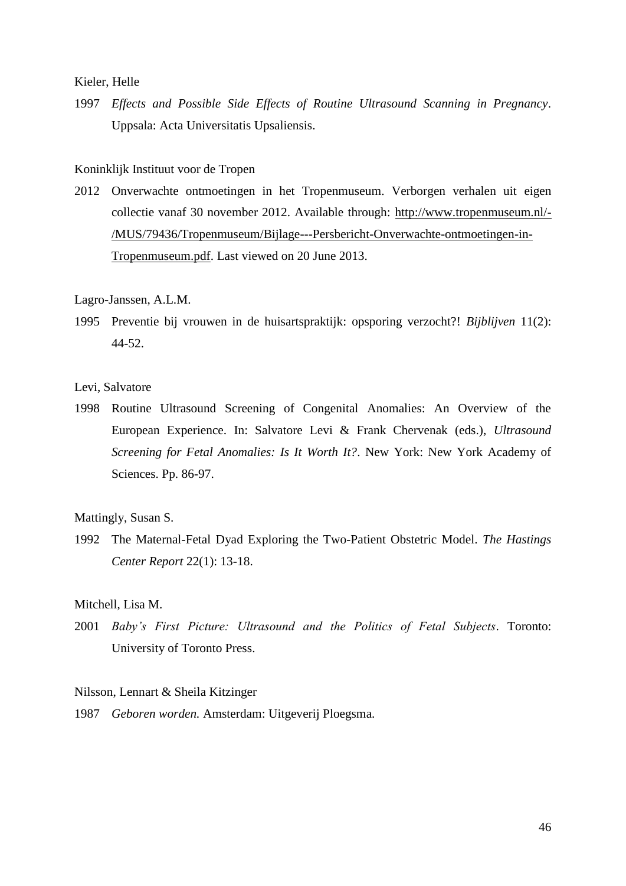Kieler, Helle

1997 *Effects and Possible Side Effects of Routine Ultrasound Scanning in Pregnancy*. Uppsala: Acta Universitatis Upsaliensis.

#### Koninklijk Instituut voor de Tropen

2012 Onverwachte ontmoetingen in het Tropenmuseum. Verborgen verhalen uit eigen collectie vanaf 30 november 2012. Available through: [http://www.tropenmuseum.nl/-](http://www.tropenmuseum.nl/-/MUS/79436/Tropenmuseum/Bijlage---Persbericht-Onverwachte-ontmoetingen-in-Tropenmuseum.pdf) [/MUS/79436/Tropenmuseum/Bijlage---Persbericht-Onverwachte-ontmoetingen-in-](http://www.tropenmuseum.nl/-/MUS/79436/Tropenmuseum/Bijlage---Persbericht-Onverwachte-ontmoetingen-in-Tropenmuseum.pdf)[Tropenmuseum.pdf.](http://www.tropenmuseum.nl/-/MUS/79436/Tropenmuseum/Bijlage---Persbericht-Onverwachte-ontmoetingen-in-Tropenmuseum.pdf) Last viewed on 20 June 2013.

#### Lagro-Janssen, A.L.M.

1995 Preventie bij vrouwen in de huisartspraktijk: opsporing verzocht?! *Bijblijven* 11(2): 44-52.

#### Levi, Salvatore

1998 Routine Ultrasound Screening of Congenital Anomalies: An Overview of the European Experience. In: Salvatore Levi & Frank Chervenak (eds.), *Ultrasound Screening for Fetal Anomalies: Is It Worth It?*. New York: New York Academy of Sciences. Pp. 86-97.

Mattingly, Susan S.

1992 The Maternal-Fetal Dyad Exploring the Two-Patient Obstetric Model. *The Hastings Center Report* 22(1): 13-18.

#### Mitchell, Lisa M.

2001 *Baby's First Picture: Ultrasound and the Politics of Fetal Subjects*. Toronto: University of Toronto Press.

#### Nilsson, Lennart & Sheila Kitzinger

1987 *Geboren worden.* Amsterdam: Uitgeverij Ploegsma.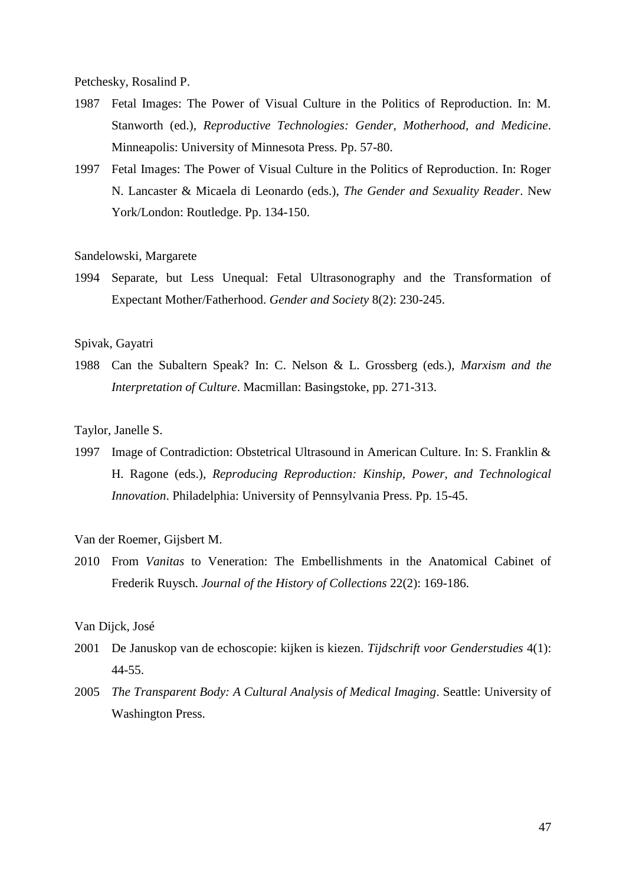Petchesky, Rosalind P.

- 1987 Fetal Images: The Power of Visual Culture in the Politics of Reproduction. In: M. Stanworth (ed.), *Reproductive Technologies: Gender, Motherhood, and Medicine*. Minneapolis: University of Minnesota Press. Pp. 57-80.
- 1997 Fetal Images: The Power of Visual Culture in the Politics of Reproduction. In: Roger N. Lancaster & Micaela di Leonardo (eds.), *The Gender and Sexuality Reader*. New York/London: Routledge. Pp. 134-150.

#### Sandelowski, Margarete

1994 Separate, but Less Unequal: Fetal Ultrasonography and the Transformation of Expectant Mother/Fatherhood. *Gender and Society* 8(2): 230-245.

#### Spivak, Gayatri

1988 Can the Subaltern Speak? In: C. Nelson & L. Grossberg (eds.), *Marxism and the Interpretation of Culture*. Macmillan: Basingstoke, pp. 271-313.

#### Taylor, Janelle S.

1997 Image of Contradiction: Obstetrical Ultrasound in American Culture. In: S. Franklin & H. Ragone (eds.), *Reproducing Reproduction: Kinship, Power, and Technological Innovation*. Philadelphia: University of Pennsylvania Press. Pp. 15-45.

#### Van der Roemer, Gijsbert M.

2010 From *Vanitas* to Veneration: The Embellishments in the Anatomical Cabinet of Frederik Ruysch. *Journal of the History of Collections* 22(2): 169-186.

#### Van Dijck, José

- 2001 De Januskop van de echoscopie: kijken is kiezen. *Tijdschrift voor Genderstudies* 4(1): 44-55.
- 2005 *The Transparent Body: A Cultural Analysis of Medical Imaging*. Seattle: University of Washington Press.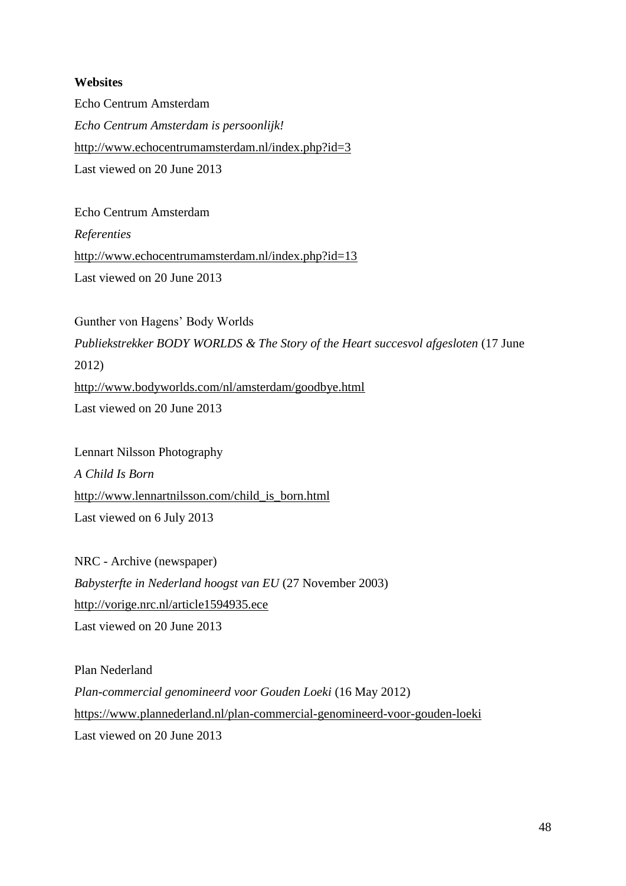#### <span id="page-47-0"></span>**Websites**

Echo Centrum Amsterdam *Echo Centrum Amsterdam is persoonlijk!* <http://www.echocentrumamsterdam.nl/index.php?id=3> Last viewed on 20 June 2013

Echo Centrum Amsterdam *Referenties* <http://www.echocentrumamsterdam.nl/index.php?id=13> Last viewed on 20 June 2013

Gunther von Hagens' Body Worlds *Publiekstrekker BODY WORLDS & The Story of the Heart succesvol afgesloten* (17 June 2012) <http://www.bodyworlds.com/nl/amsterdam/goodbye.html> Last viewed on 20 June 2013

Lennart Nilsson Photography *A Child Is Born* [http://www.lennartnilsson.com/child\\_is\\_born.html](http://www.lennartnilsson.com/child_is_born.html) Last viewed on 6 July 2013

NRC - Archive (newspaper) *Babysterfte in Nederland hoogst van EU* (27 November 2003) <http://vorige.nrc.nl/article1594935.ece> Last viewed on 20 June 2013

Plan Nederland *Plan-commercial genomineerd voor Gouden Loeki* (16 May 2012) <https://www.plannederland.nl/plan-commercial-genomineerd-voor-gouden-loeki> Last viewed on 20 June 2013